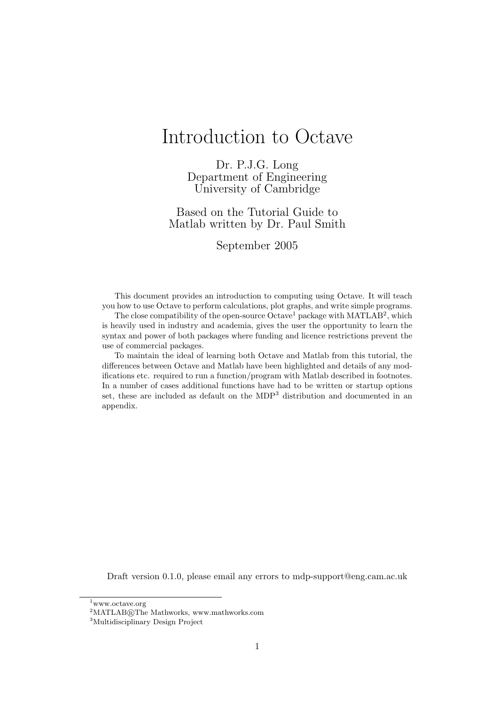# Introduction to Octave

Dr. P.J.G. Long Department of Engineering University of Cambridge

Based on the Tutorial Guide to Matlab written by Dr. Paul Smith

September 2005

This document provides an introduction to computing using Octave. It will teach you how to use Octave to perform calculations, plot graphs, and write simple programs.

The close compatibility of the open-source Octave<sup>1</sup> package with MATLAB<sup>2</sup>, which is heavily used in industry and academia, gives the user the opportunity to learn the syntax and power of both packages where funding and licence restrictions prevent the use of commercial packages.

To maintain the ideal of learning both Octave and Matlab from this tutorial, the differences between Octave and Matlab have been highlighted and details of any modifications etc. required to run a function/program with Matlab described in footnotes. In a number of cases additional functions have had to be written or startup options set, these are included as default on the MDP<sup>3</sup> distribution and documented in an appendix.

Draft version 0.1.0, please email any errors to mdp-support@eng.cam.ac.uk

<sup>1</sup>www.octave.org

 $2$ MATLAB®The Mathworks, www.mathworks.com

<sup>3</sup>Multidisciplinary Design Project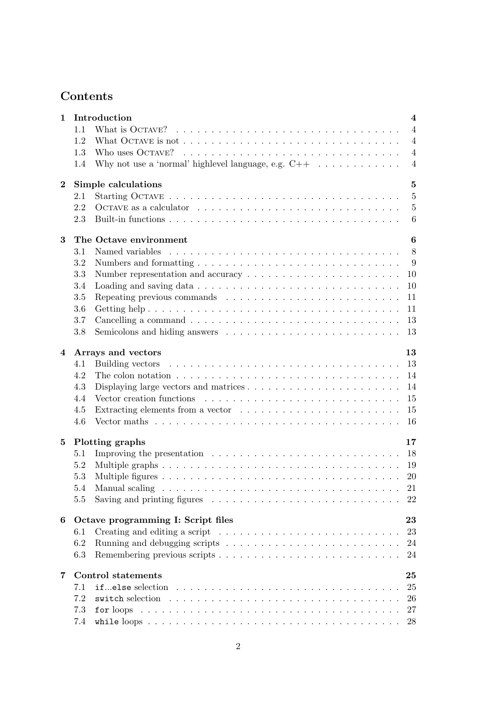## Contents

| 1        | Introduction                                                                                              | $\overline{\mathbf{4}}$ |
|----------|-----------------------------------------------------------------------------------------------------------|-------------------------|
|          | 1.1                                                                                                       | $\overline{4}$          |
|          | What OCTAVE is not $\dots \dots \dots \dots \dots \dots \dots \dots \dots \dots \dots \dots \dots$<br>1.2 | $\overline{4}$          |
|          | 1.3                                                                                                       | $\overline{4}$          |
|          | Why not use a 'normal' highlevel language, e.g. $C++ \dots \dots \dots$<br>1.4                            | $\overline{4}$          |
| $\bf{2}$ | Simple calculations                                                                                       | $\bf{5}$                |
|          | 2.1                                                                                                       | $\overline{5}$          |
|          | 2.2                                                                                                       | $\overline{5}$          |
|          | 2.3                                                                                                       | $6\phantom{.}6$         |
|          |                                                                                                           |                         |
| 3        | The Octave environment                                                                                    | $\boldsymbol{6}$        |
|          | 3.1                                                                                                       | 8                       |
|          | 3.2                                                                                                       | 9                       |
|          | 3.3                                                                                                       | 10                      |
|          | 3.4                                                                                                       | 10                      |
|          | 3.5<br>Repeating previous commands $\ldots \ldots \ldots \ldots \ldots \ldots \ldots \ldots$              | 11                      |
|          | 3.6                                                                                                       | 11                      |
|          | 3.7                                                                                                       | 13                      |
|          | 3.8                                                                                                       | 13                      |
| 4        | Arrays and vectors                                                                                        | 13                      |
|          | 4.1                                                                                                       | 13                      |
|          | The colon notation $\dots \dots \dots \dots \dots \dots \dots \dots \dots \dots \dots \dots \dots$<br>4.2 | 14                      |
|          | 4.3<br>Displaying large vectors and matrices $\dots \dots \dots \dots \dots \dots \dots \dots$            | 14                      |
|          | 4.4                                                                                                       | 15                      |
|          | 4.5                                                                                                       | 15                      |
|          | 4.6                                                                                                       | 16                      |
|          |                                                                                                           |                         |
| 5        | Plotting graphs                                                                                           | 17                      |
|          | Improving the presentation $\ldots \ldots \ldots \ldots \ldots \ldots \ldots \ldots \ldots$<br>5.1        | 18                      |
|          | 5.2                                                                                                       | 19                      |
|          | 5.3                                                                                                       | 20                      |
|          | 5.4                                                                                                       | 21                      |
|          | Saving and printing figures $\ldots \ldots \ldots \ldots \ldots \ldots \ldots \ldots \ldots$<br>5.5       | 22                      |
| 6        | Octave programming I: Script files                                                                        | 23                      |
|          | 6.1                                                                                                       | 23                      |
|          | 6.2                                                                                                       | 24                      |
|          | 6.3                                                                                                       | 24                      |
| 7        | <b>Control statements</b>                                                                                 | 25                      |
|          | 7.1                                                                                                       | 25                      |
|          | 7.2<br>switch selection                                                                                   | 26                      |
|          | 7.3<br>for loops                                                                                          | 27                      |
|          | 7.4                                                                                                       | 28                      |
|          |                                                                                                           |                         |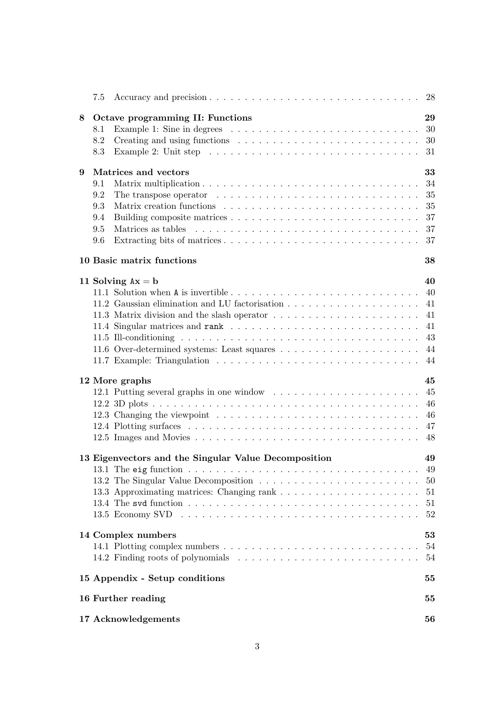|   | 7.5 |                                                                                                           |
|---|-----|-----------------------------------------------------------------------------------------------------------|
| 8 |     | Octave programming II: Functions<br>29                                                                    |
|   | 8.1 | Example 1: Sine in degrees $\dots \dots \dots \dots \dots \dots \dots \dots \dots \dots$<br>30            |
|   | 8.2 | 30                                                                                                        |
|   | 8.3 | Example 2: Unit step $\ldots \ldots \ldots \ldots \ldots \ldots \ldots \ldots \ldots \ldots \ldots$<br>31 |
| 9 |     | 33<br>Matrices and vectors                                                                                |
|   | 9.1 | 34                                                                                                        |
|   | 9.2 | The transpose operator $\dots \dots \dots \dots \dots \dots \dots \dots \dots \dots \dots$<br>35          |
|   | 9.3 | 35                                                                                                        |
|   | 9.4 | 37                                                                                                        |
|   | 9.5 | 37                                                                                                        |
|   |     |                                                                                                           |
|   | 9.6 | 37                                                                                                        |
|   |     | 10 Basic matrix functions<br>38                                                                           |
|   |     | 40<br>11 Solving $Ax = b$                                                                                 |
|   |     | -40                                                                                                       |
|   |     | 41                                                                                                        |
|   |     | 41                                                                                                        |
|   |     | 41                                                                                                        |
|   |     | 43                                                                                                        |
|   |     | 44                                                                                                        |
|   |     | 44                                                                                                        |
|   |     |                                                                                                           |
|   |     | 45<br>12 More graphs                                                                                      |
|   |     | 45                                                                                                        |
|   |     | 46                                                                                                        |
|   |     | 46                                                                                                        |
|   |     | 47                                                                                                        |
|   |     | 48                                                                                                        |
|   |     |                                                                                                           |
|   |     | 13 Eigenvectors and the Singular Value Decomposition<br>49                                                |
|   |     | 49                                                                                                        |
|   |     | 50                                                                                                        |
|   |     | 51                                                                                                        |
|   |     | 51                                                                                                        |
|   |     | 52                                                                                                        |
|   |     | 14 Complex numbers<br>53                                                                                  |
|   |     | 54                                                                                                        |
|   |     | 54                                                                                                        |
|   |     | 15 Appendix - Setup conditions<br>55                                                                      |
|   |     |                                                                                                           |
|   |     | 16 Further reading<br>55                                                                                  |
|   |     | 17 Acknowledgements<br>56                                                                                 |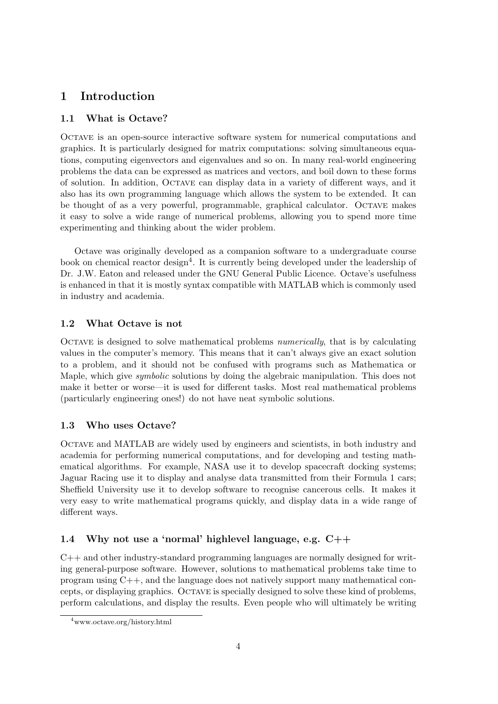## 1 Introduction

## 1.1 What is Octave?

Octave is an open-source interactive software system for numerical computations and graphics. It is particularly designed for matrix computations: solving simultaneous equations, computing eigenvectors and eigenvalues and so on. In many real-world engineering problems the data can be expressed as matrices and vectors, and boil down to these forms of solution. In addition, Octave can display data in a variety of different ways, and it also has its own programming language which allows the system to be extended. It can be thought of as a very powerful, programmable, graphical calculator. Octave makes it easy to solve a wide range of numerical problems, allowing you to spend more time experimenting and thinking about the wider problem.

Octave was originally developed as a companion software to a undergraduate course book on chemical reactor design<sup>4</sup>. It is currently being developed under the leadership of Dr. J.W. Eaton and released under the GNU General Public Licence. Octave's usefulness is enhanced in that it is mostly syntax compatible with MATLAB which is commonly used in industry and academia.

## 1.2 What Octave is not

Octave is designed to solve mathematical problems numerically, that is by calculating values in the computer's memory. This means that it can't always give an exact solution to a problem, and it should not be confused with programs such as Mathematica or Maple, which give symbolic solutions by doing the algebraic manipulation. This does not make it better or worse—it is used for different tasks. Most real mathematical problems (particularly engineering ones!) do not have neat symbolic solutions.

## 1.3 Who uses Octave?

Octave and MATLAB are widely used by engineers and scientists, in both industry and academia for performing numerical computations, and for developing and testing mathematical algorithms. For example, NASA use it to develop spacecraft docking systems; Jaguar Racing use it to display and analyse data transmitted from their Formula 1 cars; Sheffield University use it to develop software to recognise cancerous cells. It makes it very easy to write mathematical programs quickly, and display data in a wide range of different ways.

## 1.4 Why not use a 'normal' highlevel language, e.g. C++

C++ and other industry-standard programming languages are normally designed for writing general-purpose software. However, solutions to mathematical problems take time to program using C++, and the language does not natively support many mathematical concepts, or displaying graphics. Octave is specially designed to solve these kind of problems, perform calculations, and display the results. Even people who will ultimately be writing

<sup>4</sup>www.octave.org/history.html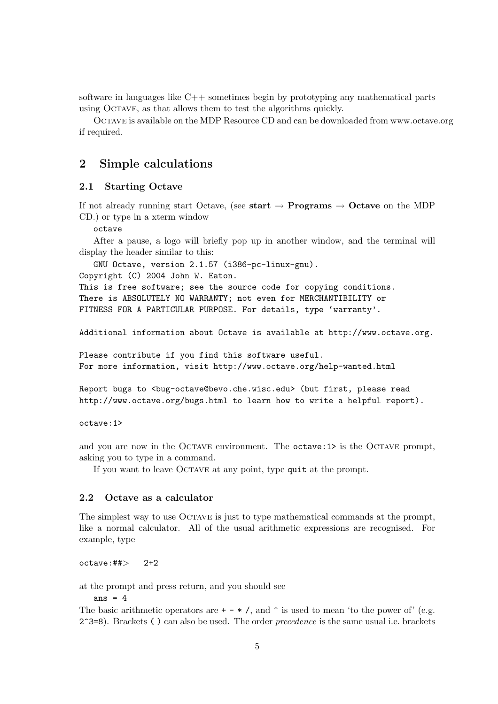software in languages like C++ sometimes begin by prototyping any mathematical parts using Octave, as that allows them to test the algorithms quickly.

Octave is available on the MDP Resource CD and can be downloaded from www.octave.org if required.

## 2 Simple calculations

### 2.1 Starting Octave

If not already running start Octave, (see start  $\rightarrow$  Programs  $\rightarrow$  Octave on the MDP CD.) or type in a xterm window

octave

After a pause, a logo will briefly pop up in another window, and the terminal will display the header similar to this:

GNU Octave, version 2.1.57 (i386-pc-linux-gnu).

Copyright (C) 2004 John W. Eaton.

This is free software; see the source code for copying conditions. There is ABSOLUTELY NO WARRANTY; not even for MERCHANTIBILITY or FITNESS FOR A PARTICULAR PURPOSE. For details, type 'warranty'.

Additional information about Octave is available at http://www.octave.org.

Please contribute if you find this software useful. For more information, visit http://www.octave.org/help-wanted.html

```
Report bugs to <br/> <br/> <br/><br/>exacles of e.wisc.edu> (but first, please read
http://www.octave.org/bugs.html to learn how to write a helpful report).
```
octave:1>

and you are now in the OCTAVE environment. The octave: 1> is the OCTAVE prompt, asking you to type in a command.

If you want to leave Octave at any point, type quit at the prompt.

#### 2.2 Octave as a calculator

The simplest way to use Octave is just to type mathematical commands at the prompt, like a normal calculator. All of the usual arithmetic expressions are recognised. For example, type

 $octave: ## > 2+2$ 

at the prompt and press return, and you should see

ans  $= 4$ 

The basic arithmetic operators are  $+ - * /$ , and  $\hat{\ }$  is used to mean 'to the power of' (e.g.  $2^s=8$ . Brackets ( ) can also be used. The order *precedence* is the same usual i.e. brackets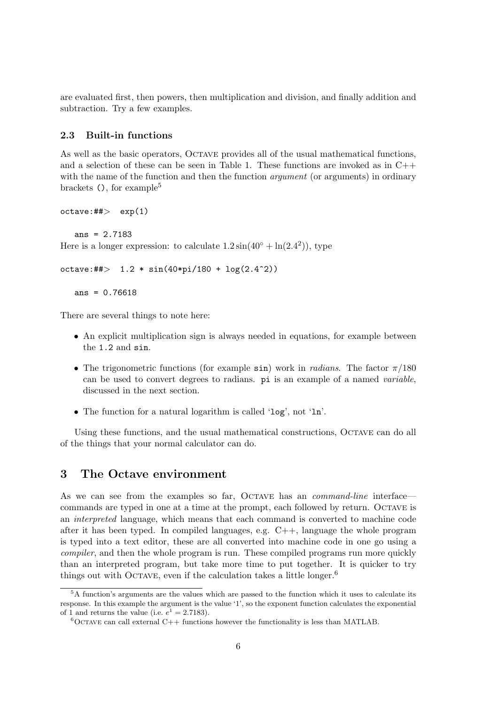are evaluated first, then powers, then multiplication and division, and finally addition and subtraction. Try a few examples.

### 2.3 Built-in functions

As well as the basic operators, OCTAVE provides all of the usual mathematical functions, and a selection of these can be seen in Table 1. These functions are invoked as in  $C++$ with the name of the function and then the function *argument* (or arguments) in ordinary brackets  $($ ), for example<sup>5</sup>

```
octave:## exp(1)
```

```
ans = 2.7183
```
Here is a longer expression: to calculate  $1.2\sin(40^\circ + \ln(2.4^\circ))$ , type

```
octave:##> 1.2 * sin(40*pi/180 + log(2.4^2))
```

```
ans = 0.76618
```
There are several things to note here:

- An explicit multiplication sign is always needed in equations, for example between the 1.2 and sin.
- The trigonometric functions (for example sin) work in *radians*. The factor  $\pi/180$ can be used to convert degrees to radians. pi is an example of a named variable, discussed in the next section.
- The function for a natural logarithm is called 'log', not 'ln'.

Using these functions, and the usual mathematical constructions, OCTAVE can do all of the things that your normal calculator can do.

## 3 The Octave environment

As we can see from the examples so far, OCTAVE has an *command-line* interface commands are typed in one at a time at the prompt, each followed by return. Octave is an interpreted language, which means that each command is converted to machine code after it has been typed. In compiled languages, e.g.  $C_{++}$ , language the whole program is typed into a text editor, these are all converted into machine code in one go using a compiler, and then the whole program is run. These compiled programs run more quickly than an interpreted program, but take more time to put together. It is quicker to try things out with OCTAVE, even if the calculation takes a little longer.<sup>6</sup>

<sup>5</sup>A function's arguments are the values which are passed to the function which it uses to calculate its response. In this example the argument is the value '1', so the exponent function calculates the exponential of 1 and returns the value (i.e.  $e^1 = 2.7183$ ).

 ${}^{6}$ OCTAVE can call external C++ functions however the functionality is less than MATLAB.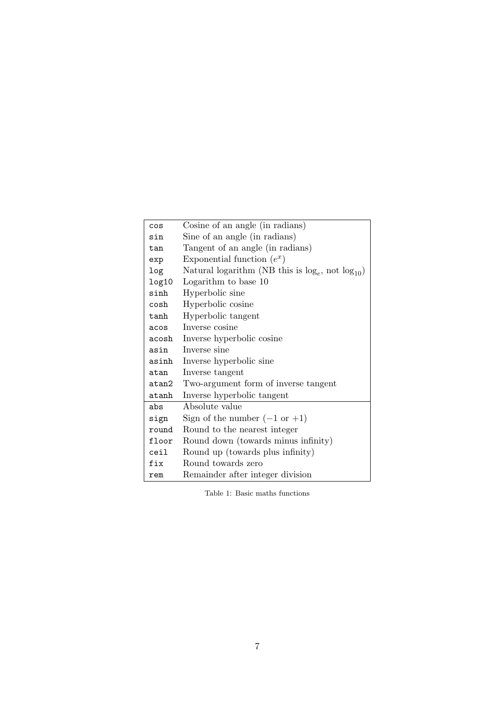| cos     | Cosine of an angle (in radians)                          |
|---------|----------------------------------------------------------|
| sin     | Sine of an angle (in radians)                            |
| tan     | Tangent of an angle (in radians)                         |
| exp     | Exponential function $(e^x)$                             |
| log     | Natural logarithm (NB this is $log_e$ , not $log_{10}$ ) |
| log10   | Logarithm to base 10                                     |
| sinh    | Hyperbolic sine                                          |
| $\cosh$ | Hyperbolic cosine                                        |
| tanh    | Hyperbolic tangent                                       |
| acos    | Inverse cosine                                           |
| acosh   | Inverse hyperbolic cosine                                |
| asin    | Inverse sine                                             |
| asinh   | Inverse hyperbolic sine                                  |
| atan    | Inverse tangent                                          |
| atan2   | Two-argument form of inverse tangent                     |
| atanh   | Inverse hyperbolic tangent                               |
| abs     | Absolute value                                           |
| sign    | Sign of the number $(-1 \text{ or } +1)$                 |
| round   | Round to the nearest integer                             |
| floor   | Round down (towards minus infinity)                      |
| ceil    | Round up (towards plus infinity)                         |
| fix     | Round towards zero                                       |
| rem     | Remainder after integer division                         |

Table 1: Basic maths functions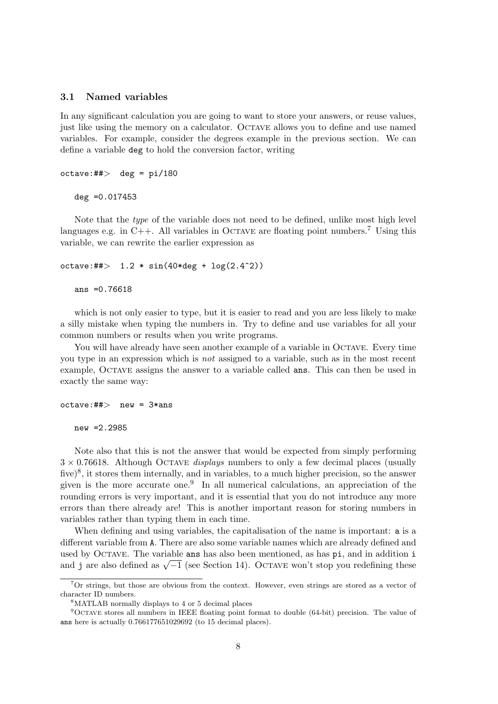### 3.1 Named variables

In any significant calculation you are going to want to store your answers, or reuse values, just like using the memory on a calculator. Octave allows you to define and use named variables. For example, consider the degrees example in the previous section. We can define a variable deg to hold the conversion factor, writing

```
octave:#*> deg = pi/180deg =0.017453
```
Note that the *type* of the variable does not need to be defined, unlike most high level languages e.g. in C++. All variables in OCTAVE are floating point numbers.<sup>7</sup> Using this variable, we can rewrite the earlier expression as

```
octave:##> 1.2 * sin(40*deg + log(2.4^2))
```
ans  $=0.76618$ 

which is not only easier to type, but it is easier to read and you are less likely to make a silly mistake when typing the numbers in. Try to define and use variables for all your common numbers or results when you write programs.

You will have already have seen another example of a variable in OCTAVE. Every time you type in an expression which is not assigned to a variable, such as in the most recent example, Octave assigns the answer to a variable called ans. This can then be used in exactly the same way:

```
octave:##> new = 3*ansnew =2.2985
```
Note also that this is not the answer that would be expected from simply performing  $3 \times 0.76618$ . Although OCTAVE *displaus* numbers to only a few decimal places (usually five)<sup>8</sup>, it stores them internally, and in variables, to a much higher precision, so the answer given is the more accurate one.<sup>9</sup> In all numerical calculations, an appreciation of the rounding errors is very important, and it is essential that you do not introduce any more errors than there already are! This is another important reason for storing numbers in variables rather than typing them in each time.

When defining and using variables, the capitalisation of the name is important: a is a different variable from A. There are also some variable names which are already defined and used by OCTAVE. The variable ans has also been mentioned, as has pi, and in addition i and j are also defined as  $\sqrt{-1}$  (see Section 14). Octave won't stop you redefining these

<sup>7</sup>Or strings, but those are obvious from the context. However, even strings are stored as a vector of character ID numbers.

<sup>8</sup>MATLAB normally displays to 4 or 5 decimal places

<sup>9</sup>Octave stores all numbers in IEEE floating point format to double (64-bit) precision. The value of ans here is actually 0.766177651029692 (to 15 decimal places).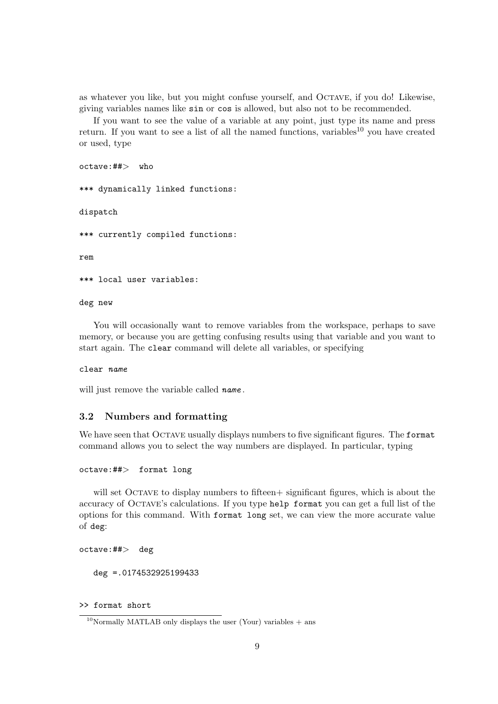as whatever you like, but you might confuse yourself, and Octave, if you do! Likewise, giving variables names like sin or cos is allowed, but also not to be recommended.

If you want to see the value of a variable at any point, just type its name and press return. If you want to see a list of all the named functions, variables<sup>10</sup> you have created or used, type

octave:##> who \*\*\* dynamically linked functions: dispatch \*\*\* currently compiled functions: rem \*\*\* local user variables:

deg new

You will occasionally want to remove variables from the workspace, perhaps to save memory, or because you are getting confusing results using that variable and you want to start again. The clear command will delete all variables, or specifying

clear name

will just remove the variable called name.

## 3.2 Numbers and formatting

We have seen that OCTAVE usually displays numbers to five significant figures. The format command allows you to select the way numbers are displayed. In particular, typing

#### octave:##> format long

will set OCTAVE to display numbers to fifteen  $+$  significant figures, which is about the accuracy of Octave's calculations. If you type help format you can get a full list of the options for this command. With format long set, we can view the more accurate value of deg:

octave:##> deg

deg =.0174532925199433

>> format short

<sup>&</sup>lt;sup>10</sup>Normally MATLAB only displays the user (Your) variables  $+$  ans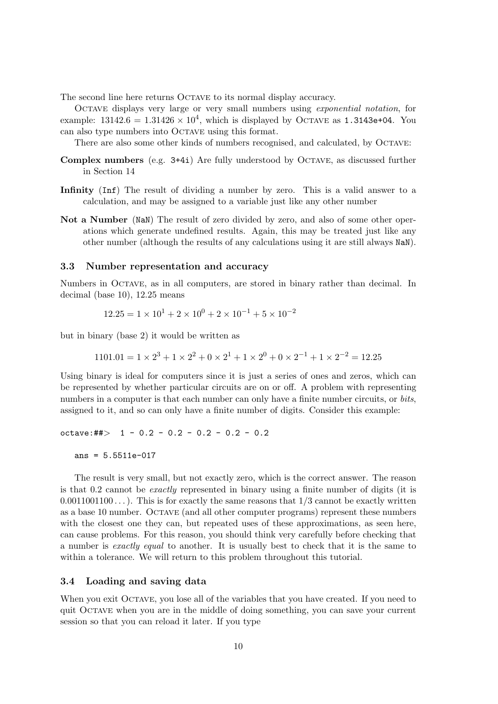The second line here returns OCTAVE to its normal display accuracy.

Octave displays very large or very small numbers using exponential notation, for example:  $13142.6 = 1.31426 \times 10^4$ , which is displayed by OCTAVE as 1.3143e+04. You can also type numbers into Octave using this format.

There are also some other kinds of numbers recognised, and calculated, by OCTAVE:

- Complex numbers (e.g. 3+4i) Are fully understood by Octave, as discussed further in Section 14
- Infinity (Inf) The result of dividing a number by zero. This is a valid answer to a calculation, and may be assigned to a variable just like any other number
- Not a Number (NaN) The result of zero divided by zero, and also of some other operations which generate undefined results. Again, this may be treated just like any other number (although the results of any calculations using it are still always NaN).

#### 3.3 Number representation and accuracy

Numbers in Octave, as in all computers, are stored in binary rather than decimal. In decimal (base 10), 12.25 means

$$
12.25 = 1 \times 10^1 + 2 \times 10^0 + 2 \times 10^{-1} + 5 \times 10^{-2}
$$

but in binary (base 2) it would be written as

$$
1101.01 = 1 \times 2^3 + 1 \times 2^2 + 0 \times 2^1 + 1 \times 2^0 + 0 \times 2^{-1} + 1 \times 2^{-2} = 12.25
$$

Using binary is ideal for computers since it is just a series of ones and zeros, which can be represented by whether particular circuits are on or off. A problem with representing numbers in a computer is that each number can only have a finite number circuits, or *bits*, assigned to it, and so can only have a finite number of digits. Consider this example:

```
octave:##> 1 - 0.2 - 0.2 - 0.2 - 0.2 - 0.2
```

```
ans = 5.5511e-017
```
The result is very small, but not exactly zero, which is the correct answer. The reason is that 0.2 cannot be exactly represented in binary using a finite number of digits (it is  $0.0011001100...$ ). This is for exactly the same reasons that  $1/3$  cannot be exactly written as a base 10 number. Octave (and all other computer programs) represent these numbers with the closest one they can, but repeated uses of these approximations, as seen here, can cause problems. For this reason, you should think very carefully before checking that a number is exactly equal to another. It is usually best to check that it is the same to within a tolerance. We will return to this problem throughout this tutorial.

#### 3.4 Loading and saving data

When you exit OCTAVE, you lose all of the variables that you have created. If you need to quit Octave when you are in the middle of doing something, you can save your current session so that you can reload it later. If you type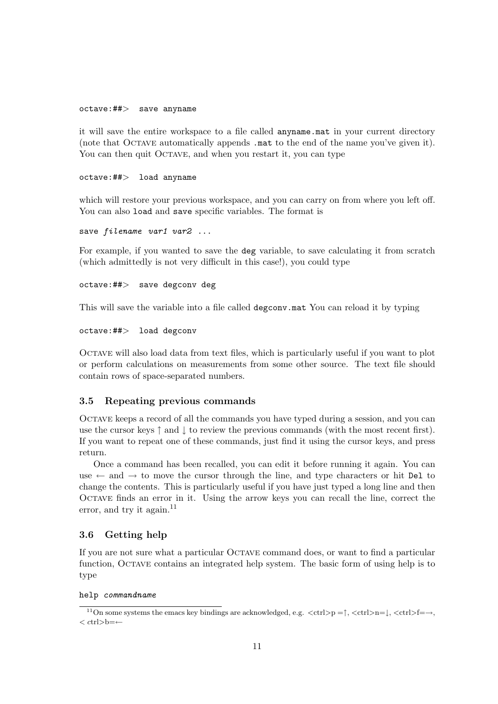### octave:##> save anyname

it will save the entire workspace to a file called anyname.mat in your current directory (note that OCTAVE automatically appends .mat to the end of the name you've given it). You can then quit OCTAVE, and when you restart it, you can type

#### octave:##> load anyname

which will restore your previous workspace, and you can carry on from where you left off. You can also load and save specific variables. The format is

```
save filename var1 var2 ...
```
For example, if you wanted to save the deg variable, to save calculating it from scratch (which admittedly is not very difficult in this case!), you could type

#### octave:##> save degconv deg

This will save the variable into a file called degconv.mat You can reload it by typing

```
octave:##> load degconv
```
Octave will also load data from text files, which is particularly useful if you want to plot or perform calculations on measurements from some other source. The text file should contain rows of space-separated numbers.

#### 3.5 Repeating previous commands

Octave keeps a record of all the commands you have typed during a session, and you can use the cursor keys  $\uparrow$  and  $\downarrow$  to review the previous commands (with the most recent first). If you want to repeat one of these commands, just find it using the cursor keys, and press return.

Once a command has been recalled, you can edit it before running it again. You can use  $\leftarrow$  and  $\rightarrow$  to move the cursor through the line, and type characters or hit Del to change the contents. This is particularly useful if you have just typed a long line and then OCTAVE finds an error in it. Using the arrow keys you can recall the line, correct the error, and try it again. $11$ 

## 3.6 Getting help

If you are not sure what a particular Octave command does, or want to find a particular function, Octave contains an integrated help system. The basic form of using help is to type

#### help commandname

<sup>&</sup>lt;sup>11</sup>On some systems the emacs key bindings are acknowledged, e.g.  $\langle \text{ctrl}\rangle = \uparrow, \langle \text{ctrl}\rangle = \downarrow, \langle \text{ctrl}\rangle = \rightarrow,$ < ctrl>b=←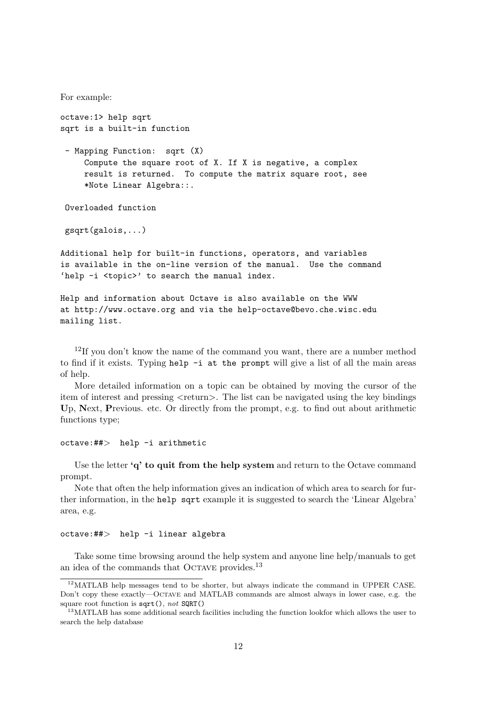For example:

octave:1> help sqrt sqrt is a built-in function

- Mapping Function: sqrt (X) Compute the square root of X. If X is negative, a complex result is returned. To compute the matrix square root, see \*Note Linear Algebra::.

Overloaded function

gsqrt(galois,...)

Additional help for built-in functions, operators, and variables is available in the on-line version of the manual. Use the command 'help -i <topic>' to search the manual index.

Help and information about Octave is also available on the WWW at http://www.octave.org and via the help-octave@bevo.che.wisc.edu mailing list.

<sup>12</sup>If you don't know the name of the command you want, there are a number method to find if it exists. Typing help -i at the prompt will give a list of all the main areas of help.

More detailed information on a topic can be obtained by moving the cursor of the item of interest and pressing <return>. The list can be navigated using the key bindings Up, Next, Previous. etc. Or directly from the prompt, e.g. to find out about arithmetic functions type;

octave:##> help -i arithmetic

Use the letter 'q' to quit from the help system and return to the Octave command prompt.

Note that often the help information gives an indication of which area to search for further information, in the help sqrt example it is suggested to search the 'Linear Algebra' area, e.g.

#### octave:##> help -i linear algebra

Take some time browsing around the help system and anyone line help/manuals to get an idea of the commands that OCTAVE provides.<sup>13</sup>

<sup>12</sup>MATLAB help messages tend to be shorter, but always indicate the command in UPPER CASE. Don't copy these exactly—Octave and MATLAB commands are almost always in lower case, e.g. the square root function is  $sqrt()$ , not  $SQRT()$ 

 $13$ MATLAB has some additional search facilities including the function lookfor which allows the user to search the help database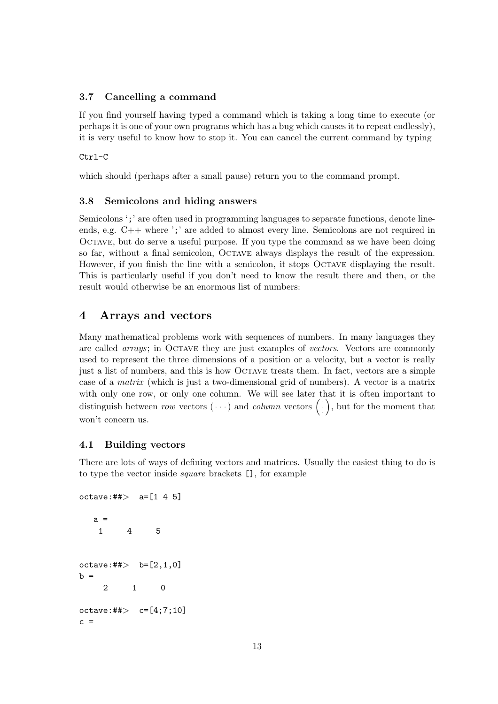## 3.7 Cancelling a command

If you find yourself having typed a command which is taking a long time to execute (or perhaps it is one of your own programs which has a bug which causes it to repeat endlessly), it is very useful to know how to stop it. You can cancel the current command by typing

#### Ctrl-C

which should (perhaps after a small pause) return you to the command prompt.

### 3.8 Semicolons and hiding answers

Semicolons ';' are often used in programming languages to separate functions, denote lineends, e.g. C++ where ';' are added to almost every line. Semicolons are not required in OCTAVE, but do serve a useful purpose. If you type the command as we have been doing so far, without a final semicolon, Octave always displays the result of the expression. However, if you finish the line with a semicolon, it stops OCTAVE displaying the result. This is particularly useful if you don't need to know the result there and then, or the result would otherwise be an enormous list of numbers:

## 4 Arrays and vectors

Many mathematical problems work with sequences of numbers. In many languages they are called *arrays*; in OCTAVE they are just examples of *vectors*. Vectors are commonly used to represent the three dimensions of a position or a velocity, but a vector is really just a list of numbers, and this is how Octave treats them. In fact, vectors are a simple case of a matrix (which is just a two-dimensional grid of numbers). A vector is a matrix with only one row, or only one column. We will see later that it is often important to with only one row, or only one column. We will see later that it is often important to distinguish between row vectors  $(\cdot \cdot)$  and *column* vectors  $(\cdot)$ , but for the moment that won't concern us.

## 4.1 Building vectors

There are lots of ways of defining vectors and matrices. Usually the easiest thing to do is to type the vector inside square brackets [], for example

```
octave:##> a=[1 4 5]a =1 4 5
octave:##> b=[2, 1, 0]b =2 1 0
octave: ## > c = [4;7;10]c =
```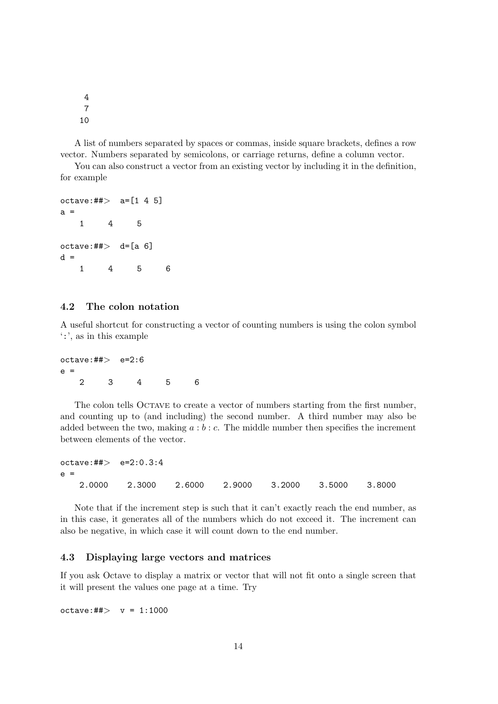4 7 10

A list of numbers separated by spaces or commas, inside square brackets, defines a row vector. Numbers separated by semicolons, or carriage returns, define a column vector.

You can also construct a vector from an existing vector by including it in the definition, for example

```
octave: ##> a=[1 4 5]a =1 4 5
octave:##> d=[a 6]
d =1 4 5 6
```
## 4.2 The colon notation

A useful shortcut for constructing a vector of counting numbers is using the colon symbol ':', as in this example

 $octave:#*>$   $e=2:6$ e = 2 3 4 5 6

The colon tells OCTAVE to create a vector of numbers starting from the first number, and counting up to (and including) the second number. A third number may also be added between the two, making  $a:b:c$ . The middle number then specifies the increment between elements of the vector.

```
octave:##> e=2:0.3:4
e =2.0000 2.3000 2.6000 2.9000 3.2000 3.5000 3.8000
```
Note that if the increment step is such that it can't exactly reach the end number, as in this case, it generates all of the numbers which do not exceed it. The increment can also be negative, in which case it will count down to the end number.

#### 4.3 Displaying large vectors and matrices

If you ask Octave to display a matrix or vector that will not fit onto a single screen that it will present the values one page at a time. Try

 $octave: \# \uplus$   $y = 1:1000$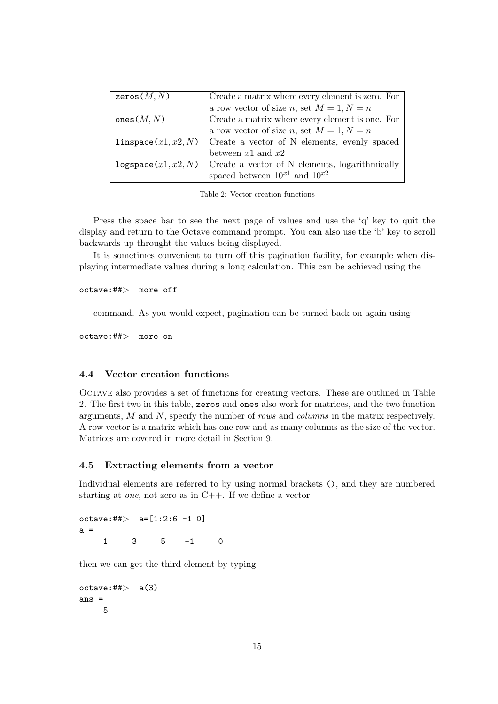| zeros $(M, N)$            | Create a matrix where every element is zero. For                     |
|---------------------------|----------------------------------------------------------------------|
|                           | a row vector of size n, set $M = 1, N = n$                           |
| ones $(M, N)$             | Create a matrix where every element is one. For                      |
|                           | a row vector of size n, set $M = 1, N = n$                           |
| $l$ inspace $(x1, x2, N)$ | Create a vector of N elements, evenly spaced                         |
|                           | between $x1$ and $x2$                                                |
|                           | $logspace(x1, x2, N)$ Create a vector of N elements, logarithmically |
|                           | spaced between $10^{x1}$ and $10^{x2}$                               |

Table 2: Vector creation functions

Press the space bar to see the next page of values and use the 'q' key to quit the display and return to the Octave command prompt. You can also use the 'b' key to scroll backwards up throught the values being displayed.

It is sometimes convenient to turn off this pagination facility, for example when displaying intermediate values during a long calculation. This can be achieved using the

octave:##> more off

command. As you would expect, pagination can be turned back on again using

octave:##> more on

#### 4.4 Vector creation functions

Octave also provides a set of functions for creating vectors. These are outlined in Table 2. The first two in this table, zeros and ones also work for matrices, and the two function arguments, M and N, specify the number of rows and columns in the matrix respectively. A row vector is a matrix which has one row and as many columns as the size of the vector. Matrices are covered in more detail in Section 9.

#### 4.5 Extracting elements from a vector

Individual elements are referred to by using normal brackets (), and they are numbered starting at one, not zero as in C++. If we define a vector

```
octave:##> a = [1:2:6 -1 0]a =
   1 3 5 -1 0
```
then we can get the third element by typing

 $octave:##> a(3)$ ans  $=$ 5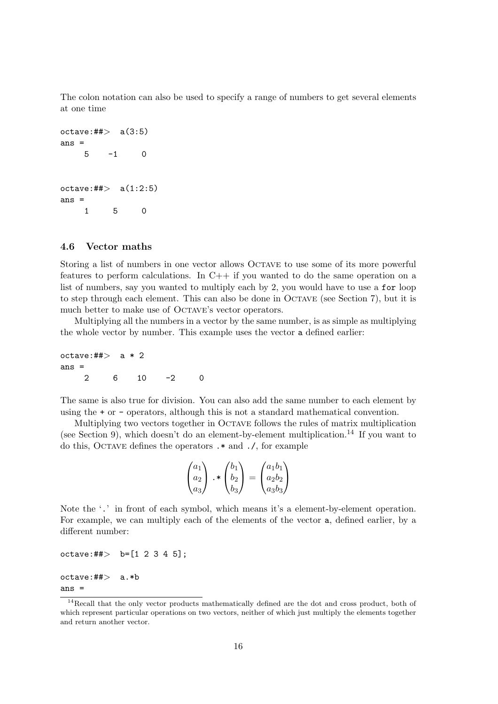The colon notation can also be used to specify a range of numbers to get several elements at one time

```
octave:##> a(3:5)ans =
   5 -1 0octave: ## > a(1:2:5)ans =1 5 0
```
#### 4.6 Vector maths

Storing a list of numbers in one vector allows OCTAVE to use some of its more powerful features to perform calculations. In  $C++$  if you wanted to do the same operation on a list of numbers, say you wanted to multiply each by 2, you would have to use a for loop to step through each element. This can also be done in Octave (see Section 7), but it is much better to make use of OCTAVE's vector operators.

Multiplying all the numbers in a vector by the same number, is as simple as multiplying the whole vector by number. This example uses the vector a defined earlier:

octave: $\#$  $>$  a  $*$  2 ans  $=$ 2 6 10 -2 0

The same is also true for division. You can also add the same number to each element by using the + or - operators, although this is not a standard mathematical convention.

Multiplying two vectors together in Octave follows the rules of matrix multiplication (see Section 9), which doesn't do an element-by-element multiplication.<sup>14</sup> If you want to do this, Octave defines the operators .\* and ./, for example

$$
\begin{pmatrix} a_1 \\ a_2 \\ a_3 \end{pmatrix} \cdot \ast \begin{pmatrix} b_1 \\ b_2 \\ b_3 \end{pmatrix} = \begin{pmatrix} a_1b_1 \\ a_2b_2 \\ a_3b_3 \end{pmatrix}
$$

Note the '.' in front of each symbol, which means it's a element-by-element operation. For example, we can multiply each of the elements of the vector a, defined earlier, by a different number:

```
octave: \# \Rightarrow b = [1 \ 2 \ 3 \ 4 \ 5];
```

```
octave:##> a.*b
ans =
```
<sup>&</sup>lt;sup>14</sup>Recall that the only vector products mathematically defined are the dot and cross product, both of which represent particular operations on two vectors, neither of which just multiply the elements together and return another vector.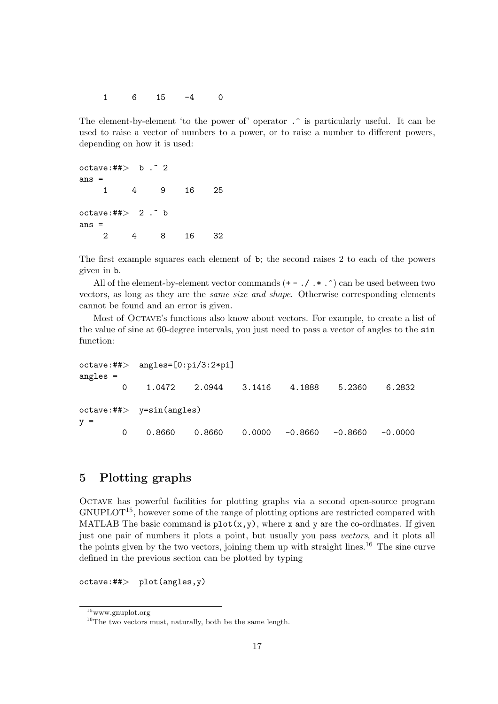1 6 15 -4 0

The element-by-element 'to the power of' operator .  $\hat{\ }$  is particularly useful. It can be used to raise a vector of numbers to a power, or to raise a number to different powers, depending on how it is used:

octave:## $>$  b  $.^{\circ}$  2 ans = 1 4 9 16 25 octave:## $> 2 \cdot$  b ans = 2 4 8 16 32

The first example squares each element of b; the second raises 2 to each of the powers given in b.

All of the element-by-element vector commands  $(+ - ./ . * . \cdot)$  can be used between two vectors, as long as they are the same size and shape. Otherwise corresponding elements cannot be found and an error is given.

Most of Octave's functions also know about vectors. For example, to create a list of the value of sine at 60-degree intervals, you just need to pass a vector of angles to the sin function:

```
octave:##> angles=[0:pi/3:2*pi]
angles =
       0 1.0472 2.0944 3.1416 4.1888 5.2360 6.2832
octave:##> y=sin(angles)
y =0 0.8660 0.8660 0.0000 -0.8660 -0.8660 -0.0000
```
## 5 Plotting graphs

Octave has powerful facilities for plotting graphs via a second open-source program GNUPLOT15, however some of the range of plotting options are restricted compared with MATLAB The basic command is  $plot(x,y)$ , where x and y are the co-ordinates. If given just one pair of numbers it plots a point, but usually you pass vectors, and it plots all the points given by the two vectors, joining them up with straight lines.<sup>16</sup> The sine curve defined in the previous section can be plotted by typing

 $octave:#*> plot(angles,y)$ 

<sup>15</sup>www.gnuplot.org

<sup>&</sup>lt;sup>16</sup>The two vectors must, naturally, both be the same length.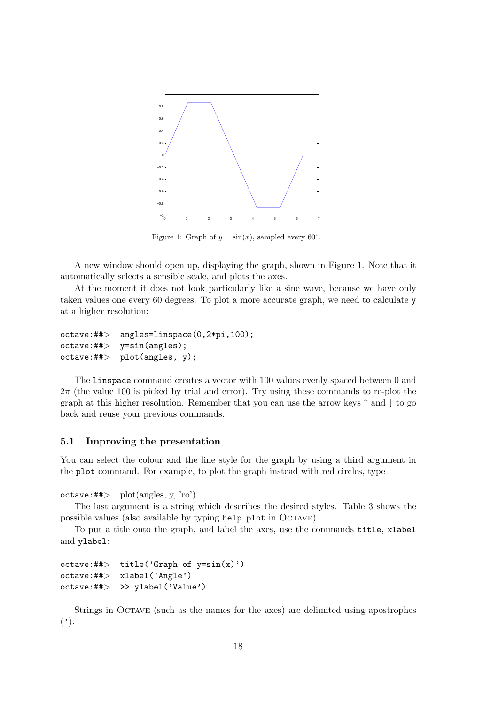

Figure 1: Graph of  $y = sin(x)$ , sampled every 60°.

A new window should open up, displaying the graph, shown in Figure 1. Note that it automatically selects a sensible scale, and plots the axes.

At the moment it does not look particularly like a sine wave, because we have only taken values one every 60 degrees. To plot a more accurate graph, we need to calculate y at a higher resolution:

```
octave:##> angles=linspace(0,2*pi,100);
octave:#*> y=sin(angles);octave:#*> plot(angles, y);
```
The linspace command creates a vector with 100 values evenly spaced between 0 and  $2\pi$  (the value 100 is picked by trial and error). Try using these commands to re-plot the graph at this higher resolution. Remember that you can use the arrow keys  $\uparrow$  and  $\downarrow$  to go back and reuse your previous commands.

#### 5.1 Improving the presentation

You can select the colour and the line style for the graph by using a third argument in the plot command. For example, to plot the graph instead with red circles, type

 $octave: \# \Rightarrow \quad plot(angles, y, 'ro')$ 

The last argument is a string which describes the desired styles. Table 3 shows the possible values (also available by typing help plot in OCTAVE).

To put a title onto the graph, and label the axes, use the commands title, xlabel and ylabel:

```
octave:##> title('Graph of y=sin(x)')
octave:##> xlabel('Angle')
octave:##> >> ylabel('Value')
```
Strings in Octave (such as the names for the axes) are delimited using apostrophes  $($ ,  $)$ .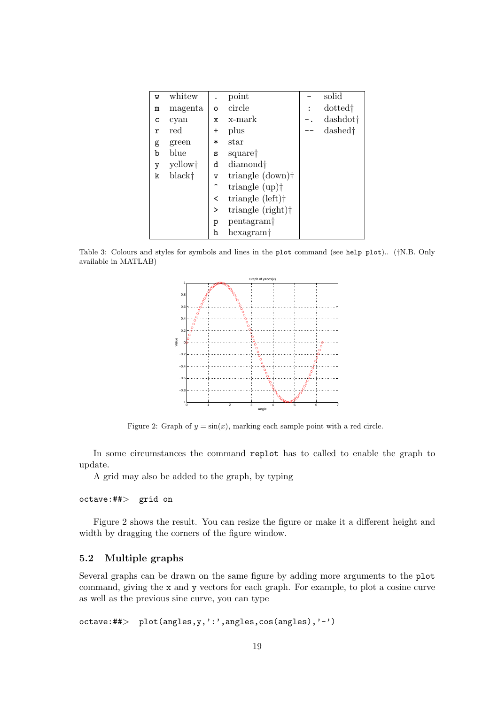| M | whitew  |                         | point                          | solid               |
|---|---------|-------------------------|--------------------------------|---------------------|
| m | magenta | O                       | circle                         | dotted <sup>†</sup> |
| С | cyan    | x                       | x-mark                         | dashdot†            |
| r | red     | +                       | plus                           | dashed <sup>†</sup> |
| g | green   | $\ast$                  | $_{\rm star}$                  |                     |
| b | blue    | S                       | square <sup>†</sup>            |                     |
| у | yellow† | d                       | diamond <sup>†</sup>           |                     |
| k | black†  | $\overline{\mathsf{v}}$ | triangle $(down)$ <sup>†</sup> |                     |
|   |         | $\hat{\phantom{a}}$     | triangle $\text{(up)}\dagger$  |                     |
|   |         | <                       | triangle $(left)$              |                     |
|   |         | >                       | triangle (right) <sup>†</sup>  |                     |
|   |         | р                       | pentagram <sup>+</sup>         |                     |
|   |         | h                       | hexagram†                      |                     |
|   |         |                         |                                |                     |

Table 3: Colours and styles for symbols and lines in the plot command (see help plot).. (†N.B. Only available in MATLAB)



Figure 2: Graph of  $y = sin(x)$ , marking each sample point with a red circle.

In some circumstances the command replot has to called to enable the graph to update.

A grid may also be added to the graph, by typing

#### octave:##> grid on

Figure 2 shows the result. You can resize the figure or make it a different height and width by dragging the corners of the figure window.

## 5.2 Multiple graphs

Several graphs can be drawn on the same figure by adding more arguments to the plot command, giving the x and y vectors for each graph. For example, to plot a cosine curve as well as the previous sine curve, you can type

```
octave:##> plot(angles,y,':',angles,cos(angles),'-')
```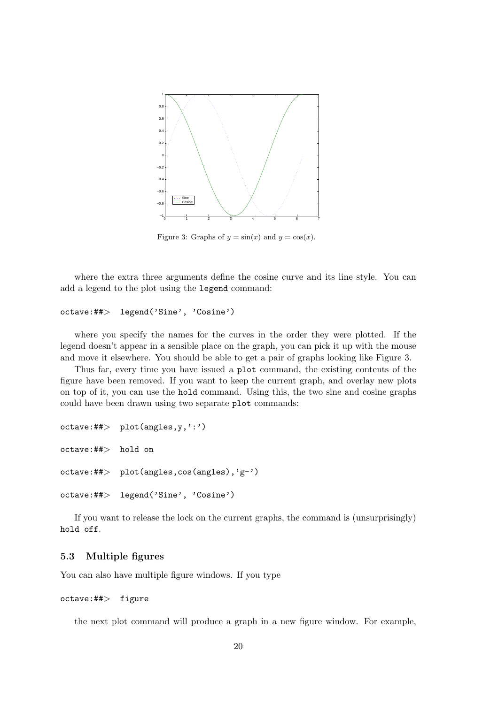

Figure 3: Graphs of  $y = sin(x)$  and  $y = cos(x)$ .

where the extra three arguments define the cosine curve and its line style. You can add a legend to the plot using the legend command:

```
octave:##> legend('Sine', 'Cosine')
```
where you specify the names for the curves in the order they were plotted. If the legend doesn't appear in a sensible place on the graph, you can pick it up with the mouse and move it elsewhere. You should be able to get a pair of graphs looking like Figure 3.

Thus far, every time you have issued a plot command, the existing contents of the figure have been removed. If you want to keep the current graph, and overlay new plots on top of it, you can use the hold command. Using this, the two sine and cosine graphs could have been drawn using two separate plot commands:

```
octave:## plot(angles, y, ' : ')
octave:##> hold on
octave:##> plot(angles,cos(angles),'g-')
octave:##> legend('Sine', 'Cosine')
```
If you want to release the lock on the current graphs, the command is (unsurprisingly) hold off.

## 5.3 Multiple figures

You can also have multiple figure windows. If you type

### octave:##> figure

the next plot command will produce a graph in a new figure window. For example,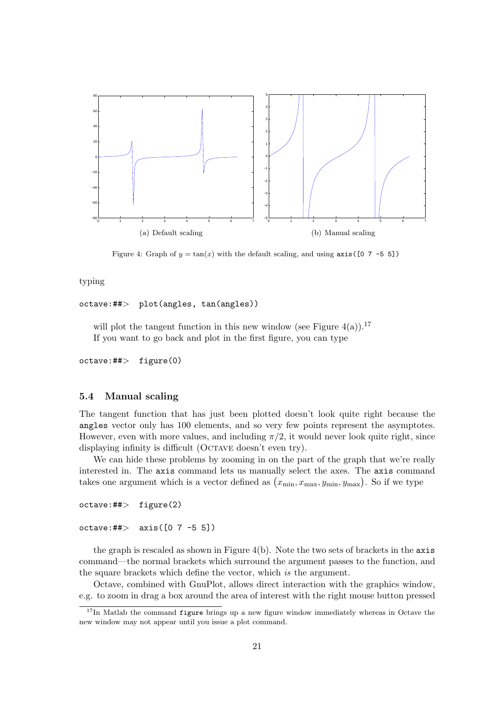

Figure 4: Graph of  $y = \tan(x)$  with the default scaling, and using  $axis([0 7 -5 5])$ 

typing

```
octave:##> plot(angles, tan(angles))
```
will plot the tangent function in this new window (see Figure 4(a)).<sup>17</sup> If you want to go back and plot in the first figure, you can type

octave:##> figure(0)

#### 5.4 Manual scaling

The tangent function that has just been plotted doesn't look quite right because the angles vector only has 100 elements, and so very few points represent the asymptotes. However, even with more values, and including  $\pi/2$ , it would never look quite right, since displaying infinity is difficult (OCTAVE doesn't even try).

We can hide these problems by zooming in on the part of the graph that we're really interested in. The axis command lets us manually select the axes. The axis command merested in. The axis command lets us manually select the axes. The axis comma<br>takes one argument which is a vector defined as  $(x_{\min}, x_{\max}, y_{\min}, y_{\max})$ . So if we type

```
octave:##> figure(2)
```
 $octave:#*> axis([0 7 -5 5])$ 

the graph is rescaled as shown in Figure  $4(b)$ . Note the two sets of brackets in the  $axis$ command—the normal brackets which surround the argument passes to the function, and the square brackets which define the vector, which is the argument.

Octave, combined with GnuPlot, allows direct interaction with the graphics window, e.g. to zoom in drag a box around the area of interest with the right mouse button pressed

 $17$ In Matlab the command figure brings up a new figure window immediately whereas in Octave the new window may not appear until you issue a plot command.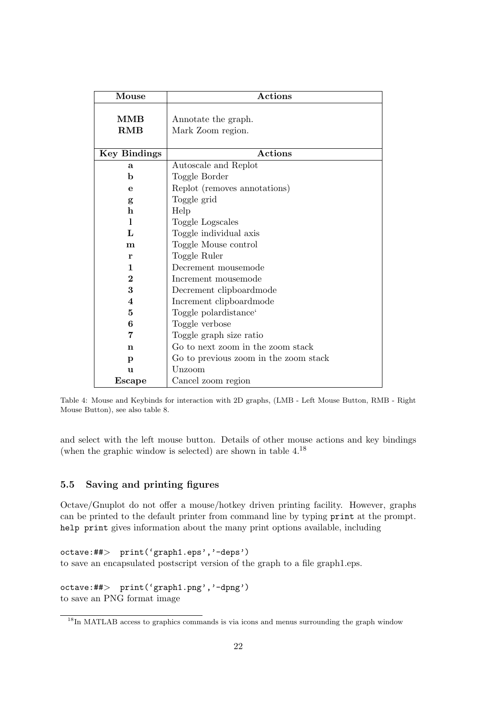| Mouse               | <b>Actions</b>                           |
|---------------------|------------------------------------------|
| MMB<br><b>RMB</b>   | Annotate the graph.<br>Mark Zoom region. |
| <b>Key Bindings</b> | <b>Actions</b>                           |
| a                   | Autoscale and Replot                     |
| $\mathbf b$         | Toggle Border                            |
| е                   | Replot (removes annotations)             |
| g                   | Toggle grid                              |
| $\mathbf h$         | Help                                     |
| 1                   | Toggle Logscales                         |
| L                   | Toggle individual axis                   |
| $\mathbf{m}$        | Toggle Mouse control                     |
| r                   | Toggle Ruler                             |
| 1                   | Decrement mousemode                      |
| $\overline{2}$      | Increment mousemode                      |
| 3                   | Decrement clipboard mode                 |
| 4                   | Increment clipboard mode                 |
| $\bf{5}$            | Toggle polardistance <sup>6</sup>        |
| 6                   | Toggle verbose                           |
| 7                   | Toggle graph size ratio                  |
| n                   | Go to next zoom in the zoom stack        |
| p                   | Go to previous zoom in the zoom stack    |
| u                   | Unzoom                                   |
| Escape              | Cancel zoom region                       |

Table 4: Mouse and Keybinds for interaction with 2D graphs, (LMB - Left Mouse Button, RMB - Right Mouse Button), see also table 8.

and select with the left mouse button. Details of other mouse actions and key bindings (when the graphic window is selected) are shown in table 4.<sup>18</sup>

## 5.5 Saving and printing figures

Octave/Gnuplot do not offer a mouse/hotkey driven printing facility. However, graphs can be printed to the default printer from command line by typing print at the prompt. help print gives information about the many print options available, including

```
octave:##> print('graph1.eps','-deps')
to save an encapsulated postscript version of the graph to a file graph1.eps.
```
octave:##> print('graph1.png','-dpng') to save an PNG format image

<sup>&</sup>lt;sup>18</sup>In MATLAB access to graphics commands is via icons and menus surrounding the graph window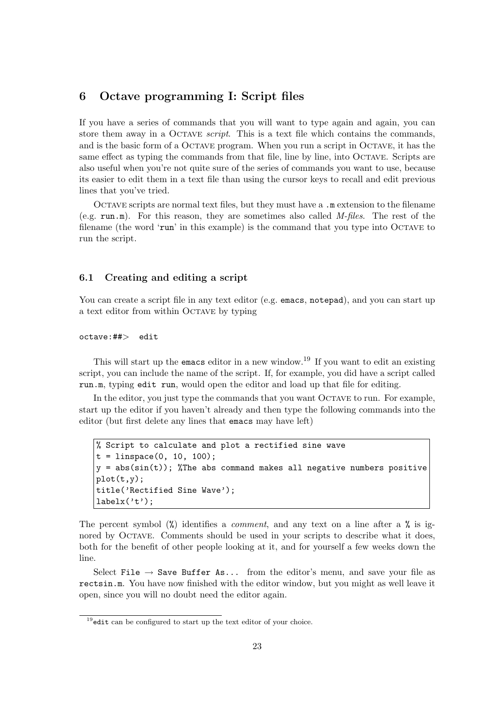## 6 Octave programming I: Script files

If you have a series of commands that you will want to type again and again, you can store them away in a OCTAVE *script*. This is a text file which contains the commands, and is the basic form of a Octave program. When you run a script in Octave, it has the same effect as typing the commands from that file, line by line, into Octave. Scripts are also useful when you're not quite sure of the series of commands you want to use, because its easier to edit them in a text file than using the cursor keys to recall and edit previous lines that you've tried.

Octave scripts are normal text files, but they must have a .m extension to the filename  $(e.g., run,m)$ . For this reason, they are sometimes also called *M-files*. The rest of the filename (the word 'run' in this example) is the command that you type into Octave to run the script.

#### 6.1 Creating and editing a script

You can create a script file in any text editor (e.g. emacs, notepad), and you can start up a text editor from within Octave by typing

octave:##> edit

This will start up the emacs editor in a new window.<sup>19</sup> If you want to edit an existing script, you can include the name of the script. If, for example, you did have a script called run.m, typing edit run, would open the editor and load up that file for editing.

In the editor, you just type the commands that you want OCTAVE to run. For example, start up the editor if you haven't already and then type the following commands into the editor (but first delete any lines that emacs may have left)

```
% Script to calculate and plot a rectified sine wave
t = 1inspace(0, 10, 100);
y = abs(sin(t)); %The abs command makes all negative numbers positive
plot(t,y);
title('Rectified Sine Wave');
labelx('t');
```
The percent symbol  $\mathcal{V}_0$  identifies a *comment*, and any text on a line after a  $\mathcal{V}_0$  is ignored by Octave. Comments should be used in your scripts to describe what it does, both for the benefit of other people looking at it, and for yourself a few weeks down the line.

Select File  $\rightarrow$  Save Buffer As... from the editor's menu, and save your file as rectsin.m. You have now finished with the editor window, but you might as well leave it open, since you will no doubt need the editor again.

 $19$ edit can be configured to start up the text editor of your choice.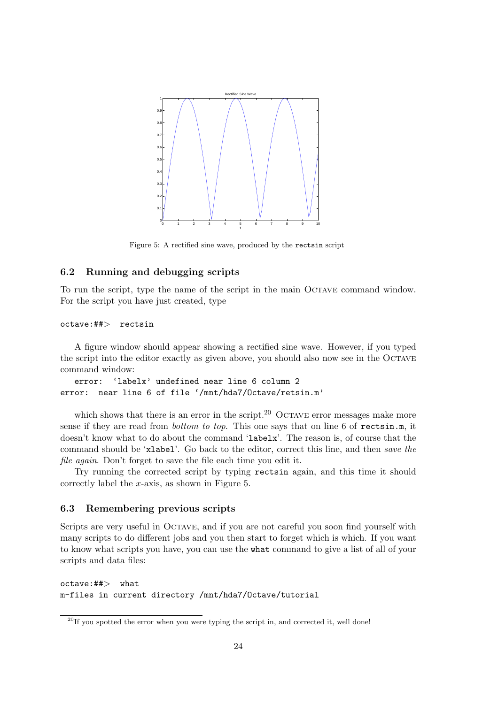

Figure 5: A rectified sine wave, produced by the rectsin script

### 6.2 Running and debugging scripts

To run the script, type the name of the script in the main Octave command window. For the script you have just created, type

#### octave:##> rectsin

A figure window should appear showing a rectified sine wave. However, if you typed the script into the editor exactly as given above, you should also now see in the Octave command window:

```
error: 'labelx' undefined near line 6 column 2
error: near line 6 of file '/mnt/hda7/Octave/retsin.m'
```
which shows that there is an error in the script.<sup>20</sup> OCTAVE error messages make more sense if they are read from *bottom to top*. This one says that on line 6 of rectsin.m, it doesn't know what to do about the command 'labelx'. The reason is, of course that the command should be 'xlabel'. Go back to the editor, correct this line, and then save the file again. Don't forget to save the file each time you edit it.

Try running the corrected script by typing rectsin again, and this time it should correctly label the  $x$ -axis, as shown in Figure 5.

#### 6.3 Remembering previous scripts

Scripts are very useful in Octave, and if you are not careful you soon find yourself with many scripts to do different jobs and you then start to forget which is which. If you want to know what scripts you have, you can use the what command to give a list of all of your scripts and data files:

octave:##> what m-files in current directory /mnt/hda7/Octave/tutorial

 $20$ If you spotted the error when you were typing the script in, and corrected it, well done!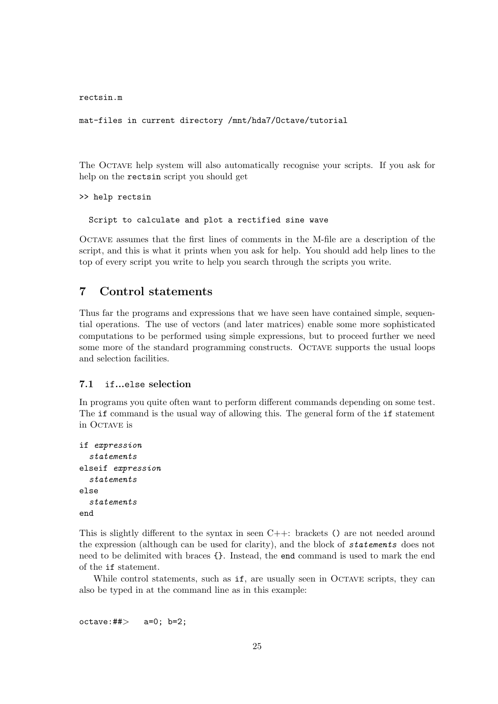rectsin.m

mat-files in current directory /mnt/hda7/Octave/tutorial

The Octave help system will also automatically recognise your scripts. If you ask for help on the rectsin script you should get

```
>> help rectsin
```
Script to calculate and plot a rectified sine wave

Octave assumes that the first lines of comments in the M-file are a description of the script, and this is what it prints when you ask for help. You should add help lines to the top of every script you write to help you search through the scripts you write.

## 7 Control statements

Thus far the programs and expressions that we have seen have contained simple, sequential operations. The use of vectors (and later matrices) enable some more sophisticated computations to be performed using simple expressions, but to proceed further we need some more of the standard programming constructs. OCTAVE supports the usual loops and selection facilities.

#### 7.1 if...else selection

In programs you quite often want to perform different commands depending on some test. The if command is the usual way of allowing this. The general form of the if statement in OCTAVE is

```
if expression
  statements
elseif expression
  statements
else
  statements
end
```
This is slightly different to the syntax in seen  $C++$ : brackets () are not needed around the expression (although can be used for clarity), and the block of statements does not need to be delimited with braces {}. Instead, the end command is used to mark the end of the if statement.

While control statements, such as if, are usually seen in OCTAVE scripts, they can also be typed in at the command line as in this example:

```
octave: ## > a=0; b=2;
```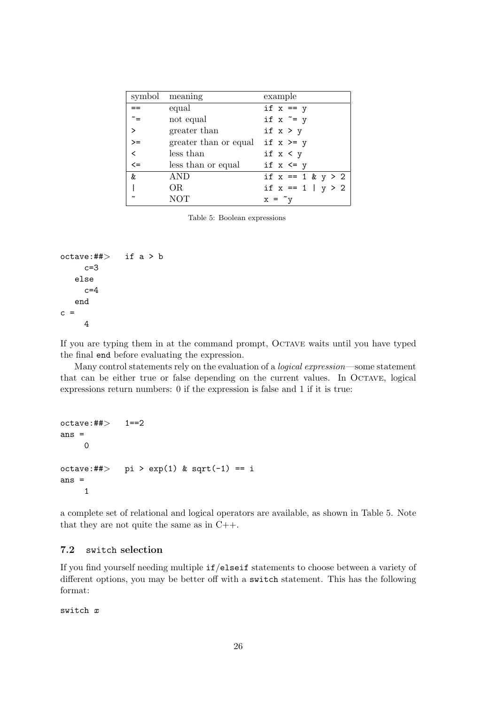| symbol       | meaning               | example               |
|--------------|-----------------------|-----------------------|
|              | equal                 | if $x == y$           |
| $\tilde{}$ = | not equal             | if $x \tilde{=} y$    |
| $\geq$       | greater than          | if $x > y$            |
| $>=$         | greater than or equal | if $x \ge y$          |
| $\,<\,$      | less than             | if $x < y$            |
| $\leq$       | less than or equal    | if $x \le y$          |
| &            | AND                   | if $x == 1$ & $y > 2$ |
|              | OR                    | if $x == 1   y > 2$   |
|              | <b>NOT</b>            | $x = \gamma$          |

Table 5: Boolean expressions

```
octave:\# > if a > b
    c=3else
     c=4end
c =4
```
If you are typing them in at the command prompt, Octave waits until you have typed the final end before evaluating the expression.

Many control statements rely on the evaluation of a logical expression—some statement that can be either true or false depending on the current values. In Octave, logical expressions return numbers: 0 if the expression is false and 1 if it is true:

```
octave:##> 1==2
ans =
    0
octave:##> pi > exp(1) & sqrt(-1) == i
ans =
    1
```
a complete set of relational and logical operators are available, as shown in Table 5. Note that they are not quite the same as in C++.

## 7.2 switch selection

If you find yourself needing multiple if/elseif statements to choose between a variety of different options, you may be better off with a switch statement. This has the following format:

switch x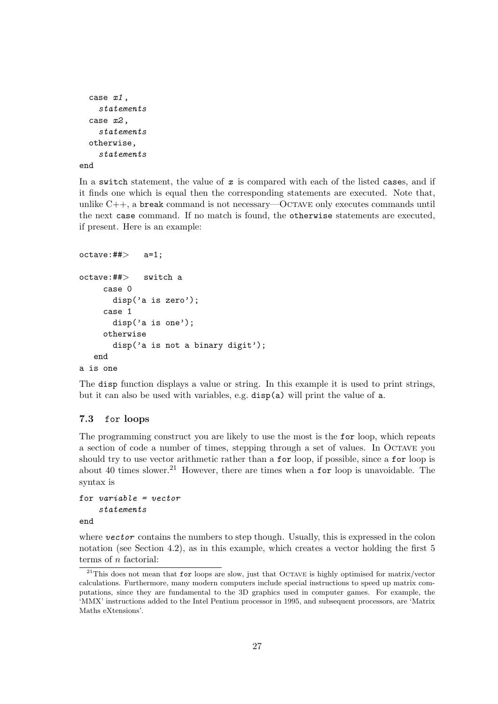```
case x1 ,
    statements
  case x2 ,
    statements
  otherwise,
    statements
end
```
In a switch statement, the value of  $x$  is compared with each of the listed cases, and if it finds one which is equal then the corresponding statements are executed. Note that, unlike  $C++$ , a break command is not necessary—OCTAVE only executes commands until the next case command. If no match is found, the otherwise statements are executed, if present. Here is an example:

```
octave:## a=1;
octave:##> switch a
    case 0
       disp('a is zero');
     case 1
       disp('a is one');
     otherwise
       disp('a is not a binary digit');
   end
a is one
```
The disp function displays a value or string. In this example it is used to print strings, but it can also be used with variables, e.g. disp(a) will print the value of a.

## 7.3 for loops

The programming construct you are likely to use the most is the for loop, which repeats a section of code a number of times, stepping through a set of values. In Octave you should try to use vector arithmetic rather than a for loop, if possible, since a for loop is about 40 times slower.<sup>21</sup> However, there are times when a **for** loop is unavoidable. The syntax is

```
for variable = vectorstatements
end
```
where vector contains the numbers to step though. Usually, this is expressed in the colon notation (see Section 4.2), as in this example, which creates a vector holding the first 5 terms of n factorial:

 $21$ This does not mean that for loops are slow, just that OCTAVE is highly optimised for matrix/vector calculations. Furthermore, many modern computers include special instructions to speed up matrix computations, since they are fundamental to the 3D graphics used in computer games. For example, the 'MMX' instructions added to the Intel Pentium processor in 1995, and subsequent processors, are 'Matrix Maths eXtensions'.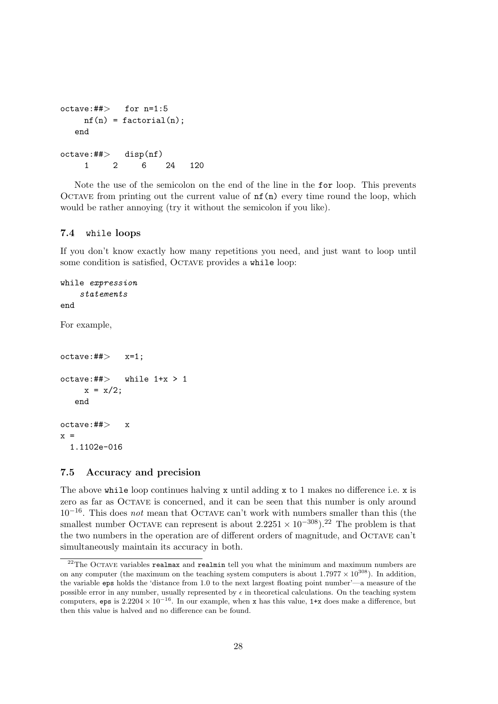```
octave:##> for n=1:5
    nf(n) = factorial(n);end
octave:##> disp(nf)
    1 2 6 24 120
```
Note the use of the semicolon on the end of the line in the for loop. This prevents OCTAVE from printing out the current value of  $nf(n)$  every time round the loop, which would be rather annoying (try it without the semicolon if you like).

## 7.4 while loops

If you don't know exactly how many repetitions you need, and just want to loop until some condition is satisfied, OCTAVE provides a while loop:

```
while expression
   statements
end
For example,
octave:##> x=1;octave:#*> while 1+x > 1x = x/2;end
octave:##> x
x =1.1102e-016
```
## 7.5 Accuracy and precision

The above while loop continues halving x until adding x to 1 makes no difference i.e. x is zero as far as Octave is concerned, and it can be seen that this number is only around  $10^{-16}$ . This does *not* mean that OCTAVE can't work with numbers smaller than this (the smallest number OCTAVE can represent is about  $2.2251 \times 10^{-308}$ .<sup>22</sup> The problem is that the two numbers in the operation are of different orders of magnitude, and Octave can't simultaneously maintain its accuracy in both.

 $22$ The OCTAVE variables realmax and realmin tell you what the minimum and maximum numbers are on any computer (the maximum on the teaching system computers is about  $1.7977 \times 10^{308}$ ). In addition, the variable eps holds the 'distance from 1.0 to the next largest floating point number'—a measure of the possible error in any number, usually represented by  $\epsilon$  in theoretical calculations. On the teaching system computers, eps is  $2.2204 \times 10^{-16}$ . In our example, when x has this value, 1+x does make a difference, but then this value is halved and no difference can be found.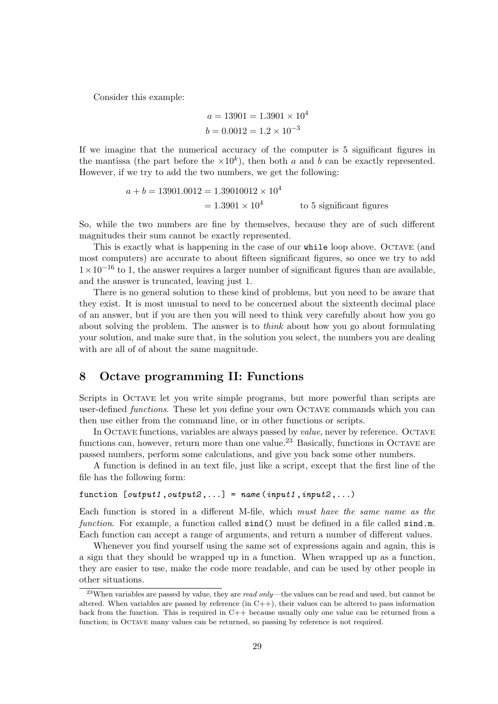Consider this example:

$$
a = 13901 = 1.3901 \times 10^4
$$
  

$$
b = 0.0012 = 1.2 \times 10^{-3}
$$

If we imagine that the numerical accuracy of the computer is 5 significant figures in the mantissa (the part before the  $\times 10^k$ ), then both a and b can be exactly represented. However, if we try to add the two numbers, we get the following:

$$
a + b = 13901.0012 = 1.39010012 \times 10^4
$$
  
= 1.3901 × 10<sup>4</sup> to 5 significant figures

So, while the two numbers are fine by themselves, because they are of such different magnitudes their sum cannot be exactly represented.

This is exactly what is happening in the case of our while loop above. OCTAVE (and most computers) are accurate to about fifteen significant figures, so once we try to add  $1 \times 10^{-16}$  to 1, the answer requires a larger number of significant figures than are available, and the answer is truncated, leaving just 1.

There is no general solution to these kind of problems, but you need to be aware that they exist. It is most unusual to need to be concerned about the sixteenth decimal place of an answer, but if you are then you will need to think very carefully about how you go about solving the problem. The answer is to think about how you go about formulating your solution, and make sure that, in the solution you select, the numbers you are dealing with are all of of about the same magnitude.

## 8 Octave programming II: Functions

Scripts in Octave let you write simple programs, but more powerful than scripts are user-defined *functions*. These let you define your own OCTAVE commands which you can then use either from the command line, or in other functions or scripts.

In Octave functions, variables are always passed by value, never by reference. Octave functions can, however, return more than one value.<sup>23</sup> Basically, functions in OCTAVE are passed numbers, perform some calculations, and give you back some other numbers.

A function is defined in an text file, just like a script, except that the first line of the file has the following form:

## function  $[output1, output2, ...)$  = name (input1, input2,...)

Each function is stored in a different M-file, which must have the same name as the function. For example, a function called  $sind()$  must be defined in a file called  $sind.m$ . Each function can accept a range of arguments, and return a number of different values.

Whenever you find yourself using the same set of expressions again and again, this is a sign that they should be wrapped up in a function. When wrapped up as a function, they are easier to use, make the code more readable, and can be used by other people in other situations.

 $^{23}$ When variables are passed by value, they are *read only*—the values can be read and used, but cannot be altered. When variables are passed by reference (in  $C_{++}$ ), their values can be altered to pass information back from the function. This is required in  $C_{++}$  because usually only one value can be returned from a function; in Octave many values can be returned, so passing by reference is not required.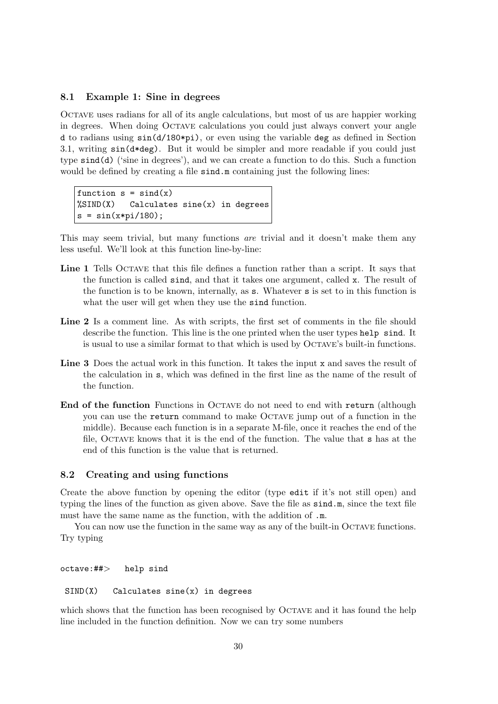#### 8.1 Example 1: Sine in degrees

Octave uses radians for all of its angle calculations, but most of us are happier working in degrees. When doing Octave calculations you could just always convert your angle d to radians using sin(d/180\*pi), or even using the variable deg as defined in Section 3.1, writing  $sin(d * deg)$ . But it would be simpler and more readable if you could just type sind(d) ('sine in degrees'), and we can create a function to do this. Such a function would be defined by creating a file  $\sin d$ .m containing just the following lines:

```
function s = \text{sind}(x)\frac{1}{2}SIND(X) Calculates sine(x) in degrees
s = sin(x * pi / 180);
```
This may seem trivial, but many functions *are* trivial and it doesn't make them any less useful. We'll look at this function line-by-line:

- Line 1 Tells OCTAVE that this file defines a function rather than a script. It says that the function is called sind, and that it takes one argument, called x. The result of the function is to be known, internally, as s. Whatever s is set to in this function is what the user will get when they use the sind function.
- Line 2 Is a comment line. As with scripts, the first set of comments in the file should describe the function. This line is the one printed when the user types help sind. It is usual to use a similar format to that which is used by Octave's built-in functions.
- Line 3 Does the actual work in this function. It takes the input x and saves the result of the calculation in s, which was defined in the first line as the name of the result of the function.
- End of the function Functions in OCTAVE do not need to end with return (although you can use the return command to make Octave jump out of a function in the middle). Because each function is in a separate M-file, once it reaches the end of the file, Octave knows that it is the end of the function. The value that s has at the end of this function is the value that is returned.

## 8.2 Creating and using functions

Create the above function by opening the editor (type edit if it's not still open) and typing the lines of the function as given above. Save the file as sind.m, since the text file must have the same name as the function, with the addition of .m.

You can now use the function in the same way as any of the built-in OCTAVE functions. Try typing

octave:##> help sind

```
SIND(X) Calculates sine(x) in degrees
```
which shows that the function has been recognised by OCTAVE and it has found the help line included in the function definition. Now we can try some numbers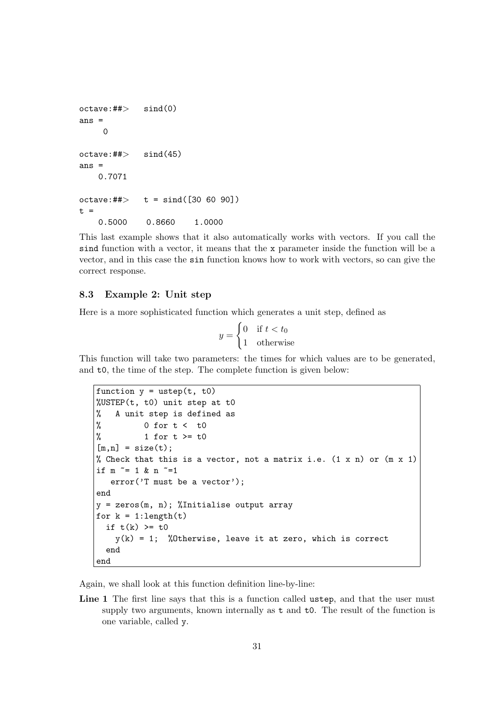```
octave:##> sind(0)
ans =
    \Omegaoctave:##> sind(45)
ans =0.7071
octave:##> t = sind([30 60 90])
t =0.5000 0.8660 1.0000
```
This last example shows that it also automatically works with vectors. If you call the sind function with a vector, it means that the x parameter inside the function will be a vector, and in this case the sin function knows how to work with vectors, so can give the correct response.

### 8.3 Example 2: Unit step

Here is a more sophisticated function which generates a unit step, defined as  $\overline{a}$ 

$$
y = \begin{cases} 0 & \text{if } t < t_0 \\ 1 & \text{otherwise} \end{cases}
$$

This function will take two parameters: the times for which values are to be generated, and t0, the time of the step. The complete function is given below:

```
function y = ustep(t, t0)%USTEP(t, t0) unit step at t0
% A unit step is defined as
% 0 for t < t0
% 1 for t > = t0[m,n] = size(t);% Check that this is a vector, not a matrix i.e. (1 \times n) or (m \times 1)if m \tilde{=} 1 & n \tilde{=} 1
   error('T must be a vector');
end
y = zeros(m, n); %Initialise output array
for k = 1: length(t)if t(k) >= t0y(k) = 1; %Otherwise, leave it at zero, which is correct
  end
end
```
Again, we shall look at this function definition line-by-line:

Line 1 The first line says that this is a function called ustep, and that the user must supply two arguments, known internally as t and t0. The result of the function is one variable, called y.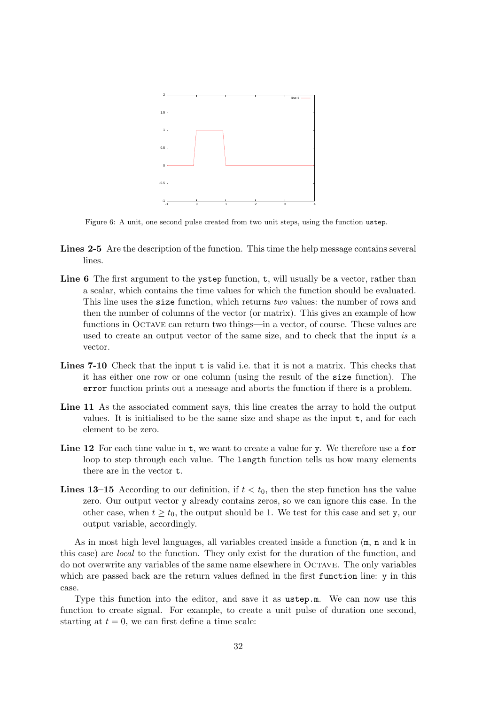

Figure 6: A unit, one second pulse created from two unit steps, using the function ustep.

- Lines 2-5 Are the description of the function. This time the help message contains several lines.
- Line 6 The first argument to the ystep function,  $t$ , will usually be a vector, rather than a scalar, which contains the time values for which the function should be evaluated. This line uses the **size** function, which returns two values: the number of rows and then the number of columns of the vector (or matrix). This gives an example of how functions in OCTAVE can return two things—in a vector, of course. These values are used to create an output vector of the same size, and to check that the input is a vector.
- Lines 7-10 Check that the input t is valid i.e. that it is not a matrix. This checks that it has either one row or one column (using the result of the size function). The error function prints out a message and aborts the function if there is a problem.
- Line 11 As the associated comment says, this line creates the array to hold the output values. It is initialised to be the same size and shape as the input t, and for each element to be zero.
- Line 12 For each time value in t, we want to create a value for y. We therefore use a for loop to step through each value. The length function tells us how many elements there are in the vector t.
- **Lines 13–15** According to our definition, if  $t < t_0$ , then the step function has the value zero. Our output vector y already contains zeros, so we can ignore this case. In the other case, when  $t \geq t_0$ , the output should be 1. We test for this case and set y, our output variable, accordingly.

As in most high level languages, all variables created inside a function  $(m, n, n)$  and k in this case) are local to the function. They only exist for the duration of the function, and do not overwrite any variables of the same name elsewhere in Octave. The only variables which are passed back are the return values defined in the first function line: y in this case.

Type this function into the editor, and save it as ustep.m. We can now use this function to create signal. For example, to create a unit pulse of duration one second, starting at  $t = 0$ , we can first define a time scale: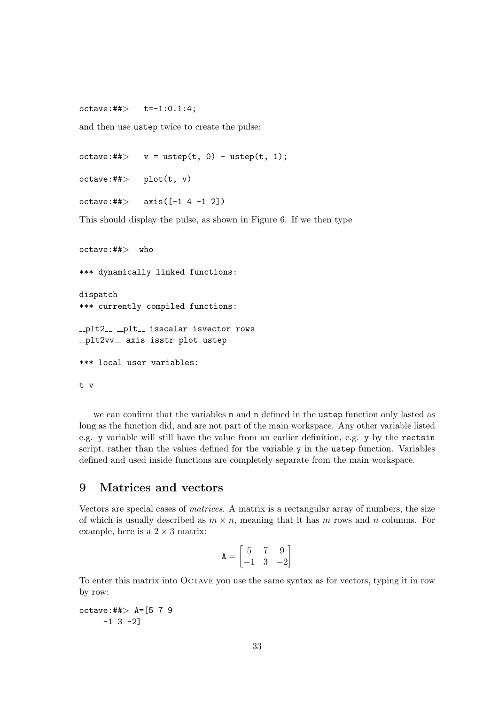$octave: ## > t=-1:0.1:4;$ 

and then use ustep twice to create the pulse:

 $octave:#*>$  v = ustep(t, 0) - ustep(t, 1);

 $octave:#*>$   $plot(t, v)$ 

 $octave: ## > axis([-1 4 -1 2])$ 

This should display the pulse, as shown in Figure 6. If we then type

octave:##> who \*\*\* dynamically linked functions: dispatch

\*\*\* currently compiled functions:

\_plt2\_\_ \_plt\_\_ isscalar isvector rows \_plt2vv\_\_ axis isstr plot ustep

\*\*\* local user variables:

t v

we can confirm that the variables m and n defined in the ustep function only lasted as long as the function did, and are not part of the main workspace. Any other variable listed e.g. y variable will still have the value from an earlier definition, e.g. y by the rectsin script, rather than the values defined for the variable y in the ustep function. Variables defined and used inside functions are completely separate from the main workspace.

## 9 Matrices and vectors

Vectors are special cases of matrices. A matrix is a rectangular array of numbers, the size of which is usually described as  $m \times n$ , meaning that it has m rows and n columns. For example, here is a  $2 \times 3$  matrix:

$$
\mathbf{A} = \begin{bmatrix} 5 & 7 & 9 \\ -1 & 3 & -2 \end{bmatrix}
$$

To enter this matrix into Octave you use the same syntax as for vectors, typing it in row by row:

octave:##> A=[5 7 9  $-1$  3  $-2$ ]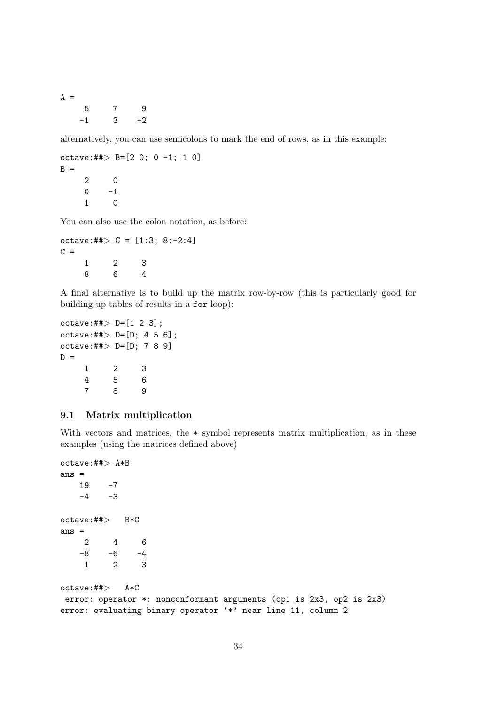| $A =$ |      |              |      |
|-------|------|--------------|------|
|       | 5    | 7            | 9    |
|       | $-1$ | $\mathbf{3}$ | $-2$ |

alternatively, you can use semicolons to mark the end of rows, as in this example:

```
octave:##> B=[2 0; 0 -1; 1 0]
B =2 0
    0 -11 0
```
You can also use the colon notation, as before:

```
octave:##> C = [1:3; 8:-2:4]C =1 2 3
   8 6 4
```
A final alternative is to build up the matrix row-by-row (this is particularly good for building up tables of results in a for loop):

```
octave: ## > D = [1 2 3];octave: ## > D = [D; 4 5 6];octave: ## > D = [D; 7 8 9]D =1 2 3
    4 5 6
    7 8 9
```
## 9.1 Matrix multiplication

With vectors and matrices, the  $*$  symbol represents matrix multiplication, as in these examples (using the matrices defined above)

```
octave:##> A*B
ans =
   19 -7
   -4 -3octave:##> B*C
ans =
    2 4 6
   -8 -6 -4
    1 2 3
octave:##> A*C
error: operator *: nonconformant arguments (op1 is 2x3, op2 is 2x3)
error: evaluating binary operator '*' near line 11, column 2
```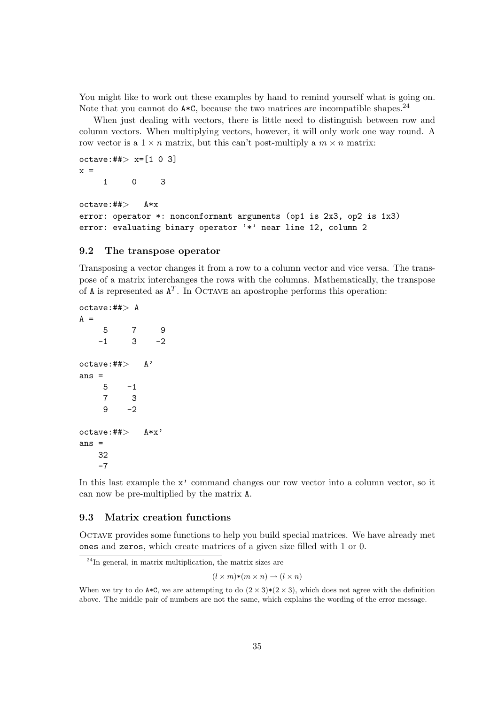You might like to work out these examples by hand to remind yourself what is going on. Note that you cannot do  $A*C$ , because the two matrices are incompatible shapes.<sup>24</sup>

When just dealing with vectors, there is little need to distinguish between row and column vectors. When multiplying vectors, however, it will only work one way round. A row vector is a  $1 \times n$  matrix, but this can't post-multiply a  $m \times n$  matrix:

```
octave: ##> x=[1 0 3]x =1 0 3
```

```
octave:##> A*x
error: operator *: nonconformant arguments (op1 is 2x3, op2 is 1x3)
error: evaluating binary operator '*' near line 12, column 2
```
### 9.2 The transpose operator

Transposing a vector changes it from a row to a column vector and vice versa. The transpose of a matrix interchanges the rows with the columns. Mathematically, the transpose of A is represented as  $A<sup>T</sup>$ . In OCTAVE an apostrophe performs this operation:

```
octave:##> A
A =5 7 9
   -1 3 -2octave: ## > A'ans =
   5 -17 3
   9 -2octave: ## > A*x'ans =
   32
   -7
```
In this last example the  $x'$  command changes our row vector into a column vector, so it can now be pre-multiplied by the matrix A.

### 9.3 Matrix creation functions

Octave provides some functions to help you build special matrices. We have already met ones and zeros, which create matrices of a given size filled with 1 or 0.

<sup>24</sup>In general, in matrix multiplication, the matrix sizes are

 $(l \times m)*(m \times n) \rightarrow (l \times n)$ 

When we try to do  $A*C$ , we are attempting to do  $(2 \times 3)*(2 \times 3)$ , which does not agree with the definition above. The middle pair of numbers are not the same, which explains the wording of the error message.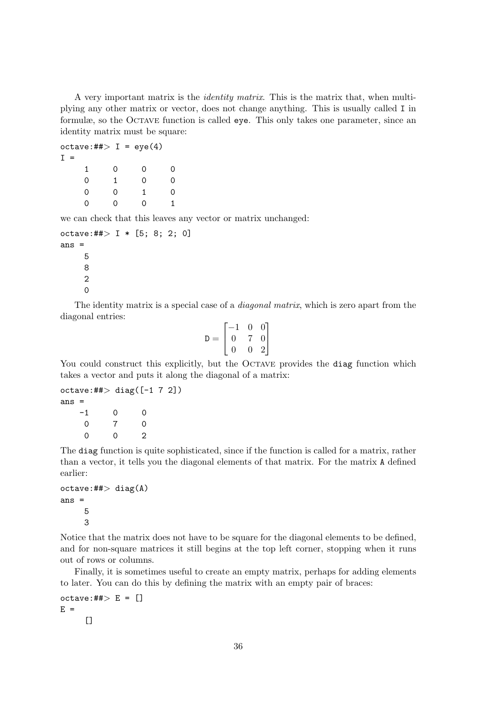A very important matrix is the identity matrix. This is the matrix that, when multiplying any other matrix or vector, does not change anything. This is usually called I in formulæ, so the Octave function is called eye. This only takes one parameter, since an identity matrix must be square:

octave:## $> I = eye(4)$  $I =$ 1 0 0 0 0 1 0 0 0 0 1 0 0 0 0 1

we can check that this leaves any vector or matrix unchanged:

```
octave:##> I * [5; 8; 2; 0]ans =5
     8
     2
     0
```
The identity matrix is a special case of a *diagonal matrix*, which is zero apart from the diagonal entries:  $\overline{a}$  $\overline{a}$ 

$$
\mathbf{D} = \begin{bmatrix} -1 & 0 & 0 \\ 0 & 7 & 0 \\ 0 & 0 & 2 \end{bmatrix}
$$

You could construct this explicitly, but the OCTAVE provides the diag function which takes a vector and puts it along the diagonal of a matrix:

```
octave: ## > diag([-1 7 2])ans =
   -1 0 0
   0 7 0
   0 0 2
```
The diag function is quite sophisticated, since if the function is called for a matrix, rather than a vector, it tells you the diagonal elements of that matrix. For the matrix A defined earlier:

```
octave: ##> diag(A)ans =
     5
     3
```
Notice that the matrix does not have to be square for the diagonal elements to be defined, and for non-square matrices it still begins at the top left corner, stopping when it runs out of rows or columns.

Finally, it is sometimes useful to create an empty matrix, perhaps for adding elements to later. You can do this by defining the matrix with an empty pair of braces:

```
octave: \# \neq E = []E =[
```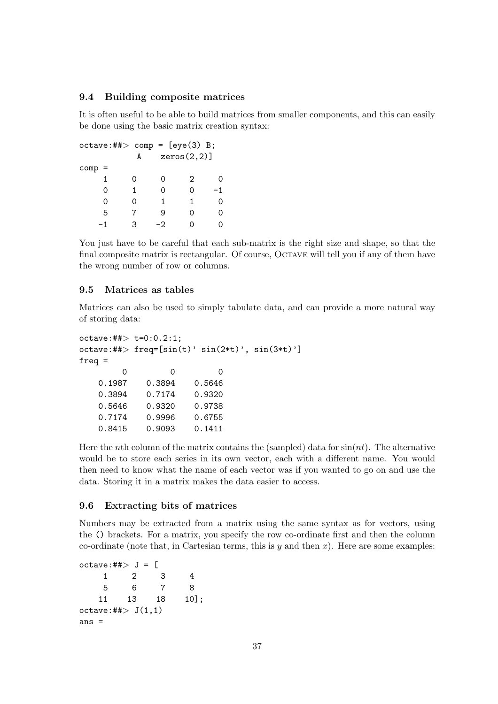## 9.4 Building composite matrices

It is often useful to be able to build matrices from smaller components, and this can easily be done using the basic matrix creation syntax:

```
octave:##> comp = [eye(3) B;A zeros(2,2)]
comp =1 0 0 2 0
  0 1 0 0 -1
  0 0 1 1 0
  5 7 9 0 0
  -1 3 -2 0 0
```
You just have to be careful that each sub-matrix is the right size and shape, so that the final composite matrix is rectangular. Of course, OCTAVE will tell you if any of them have the wrong number of row or columns.

#### 9.5 Matrices as tables

Matrices can also be used to simply tabulate data, and can provide a more natural way of storing data:

```
octave: ## > t=0:0.2:1;octave:##> freq=[sin(t)' sin(2*t)', sin(3*t)']
freq =
       0 0 0
   0.1987 0.3894 0.5646
   0.3894 0.7174 0.9320
   0.5646 0.9320 0.9738
   0.7174 0.9996 0.6755
   0.8415 0.9093 0.1411
```
Here the nth column of the matrix contains the (sampled) data for  $sin(nt)$ . The alternative would be to store each series in its own vector, each with a different name. You would then need to know what the name of each vector was if you wanted to go on and use the data. Storing it in a matrix makes the data easier to access.

#### 9.6 Extracting bits of matrices

Numbers may be extracted from a matrix using the same syntax as for vectors, using the () brackets. For a matrix, you specify the row co-ordinate first and then the column co-ordinate (note that, in Cartesian terms, this is  $y$  and then x). Here are some examples:

```
octave:#*> J = [1 2 3 4
   5 6 7 8
  11 13 18 10];
octave: ##> J(1,1)ans =
```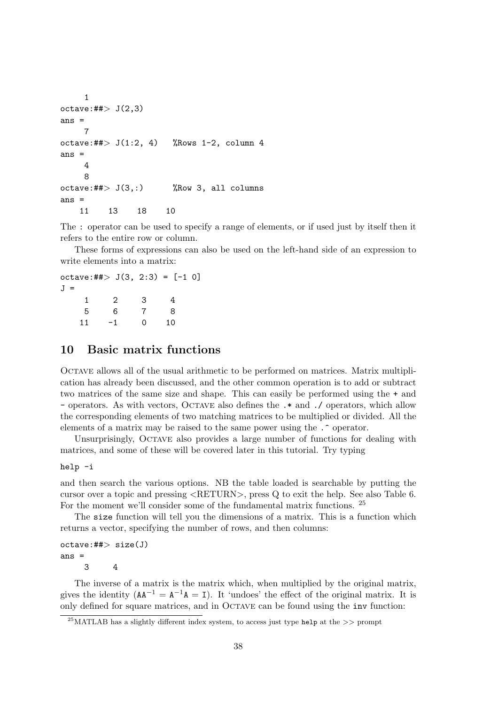```
1
octave:#*> J(2,3)ans =
    7
octave: ##> J(1:2, 4) %Rows 1-2, column 4
ans =
    4
    8
octave:##> J(3,:) %Row 3, all columns
ans =
   11 13 18 10
```
The : operator can be used to specify a range of elements, or if used just by itself then it refers to the entire row or column.

These forms of expressions can also be used on the left-hand side of an expression to write elements into a matrix:

octave:## $> J(3, 2:3) = [-1 0]$  $J =$ 1 2 3 4 5 6 7 8 11 -1 0 10

## 10 Basic matrix functions

Octave allows all of the usual arithmetic to be performed on matrices. Matrix multiplication has already been discussed, and the other common operation is to add or subtract two matrices of the same size and shape. This can easily be performed using the + and - operators. As with vectors, Octave also defines the .\* and ./ operators, which allow the corresponding elements of two matching matrices to be multiplied or divided. All the elements of a matrix may be raised to the same power using the .^ operator.

Unsurprisingly, Octave also provides a large number of functions for dealing with matrices, and some of these will be covered later in this tutorial. Try typing

#### help -i

and then search the various options. NB the table loaded is searchable by putting the cursor over a topic and pressing <RETURN>, press Q to exit the help. See also Table 6. For the moment we'll consider some of the fundamental matrix functions. <sup>25</sup>

The size function will tell you the dimensions of a matrix. This is a function which returns a vector, specifying the number of rows, and then columns:

```
octave:##> size(J)
ans =
    3 4
```
The inverse of a matrix is the matrix which, when multiplied by the original matrix, gives the identity  $(AA^{-1} = A^{-1}A = I)$ . It 'undoes' the effect of the original matrix. It is only defined for square matrices, and in Octave can be found using the inv function:

<sup>&</sup>lt;sup>25</sup>MATLAB has a slightly different index system, to access just type help at the  $\gg$  prompt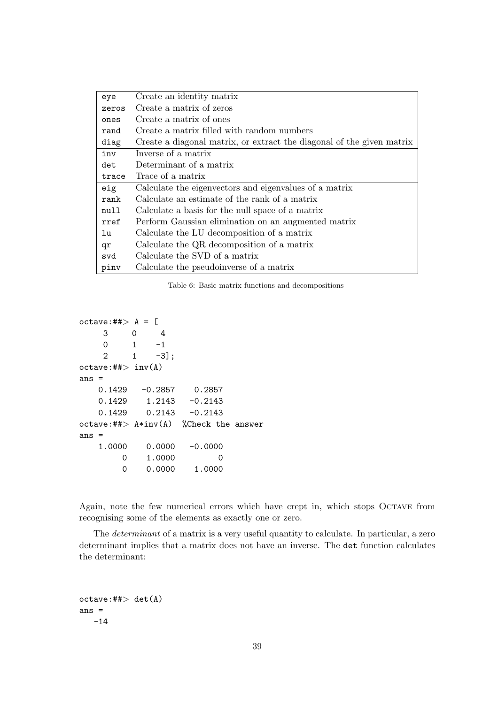| eye   | Create an identity matrix                                             |
|-------|-----------------------------------------------------------------------|
| zeros | Create a matrix of zeros                                              |
| ones  | Create a matrix of ones                                               |
| rand  | Create a matrix filled with random numbers                            |
| diag  | Create a diagonal matrix, or extract the diagonal of the given matrix |
| inv   | Inverse of a matrix                                                   |
| det   | Determinant of a matrix                                               |
| trace | Trace of a matrix                                                     |
| eig   | Calculate the eigenvectors and eigenvalues of a matrix                |
| rank  | Calculate an estimate of the rank of a matrix                         |
| null  | Calculate a basis for the null space of a matrix                      |
| rref  | Perform Gaussian elimination on an augmented matrix                   |
| lu    | Calculate the LU decomposition of a matrix                            |
| qr    | Calculate the QR decomposition of a matrix                            |
| svd   | Calculate the SVD of a matrix                                         |
| pinv  | Calculate the pseudoinverse of a matrix                               |

Table 6: Basic matrix functions and decompositions

```
octave:##> A = [3 0 4
   0 1 -1
   2 \t 1 \t -3];octave:## inv(A)
ans =
   0.1429 -0.2857 0.2857
   0.1429 1.2143 -0.2143
   0.1429 0.2143 -0.2143
octave:##> A*inv(A) %Check the answer
ans =
   1.0000 0.0000 -0.0000
       0 1.0000 0
       0 0.0000 1.0000
```
Again, note the few numerical errors which have crept in, which stops Octave from recognising some of the elements as exactly one or zero.

The determinant of a matrix is a very useful quantity to calculate. In particular, a zero determinant implies that a matrix does not have an inverse. The det function calculates the determinant:

```
octave:##> det(A)
ans =-14
```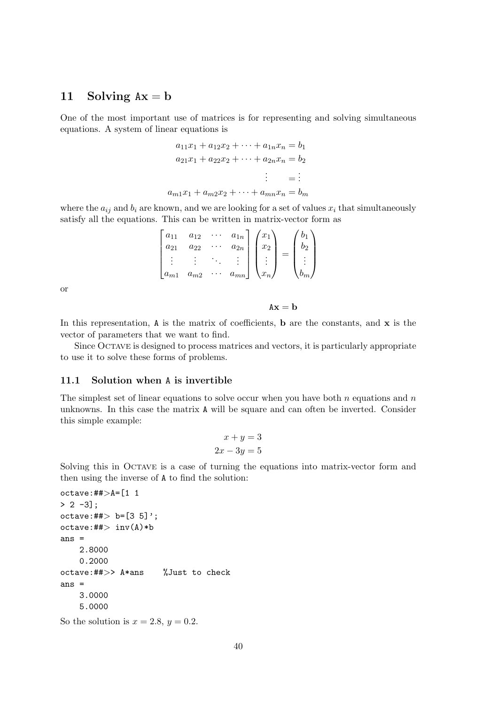## 11 Solving  $Ax = b$

One of the most important use of matrices is for representing and solving simultaneous equations. A system of linear equations is

$$
a_{11}x_1 + a_{12}x_2 + \dots + a_{1n}x_n = b_1
$$
  
\n
$$
a_{21}x_1 + a_{22}x_2 + \dots + a_{2n}x_n = b_2
$$
  
\n
$$
\vdots = \vdots
$$
  
\n
$$
a_{m1}x_1 + a_{m2}x_2 + \dots + a_{mn}x_n = b_m
$$

where the  $a_{ij}$  and  $b_i$  are known, and we are looking for a set of values  $x_i$  that simultaneously satisfy all the equations. This can be written in matrix-vector form as

| $a_{11}$<br>$a_{21}$ | $a_{12}$<br>$a_{22}$  | $a_{1n}$<br>$a_{2n}$ | $x_1$<br>$\begin{bmatrix} x_2 \end{bmatrix}$                         | D9 |
|----------------------|-----------------------|----------------------|----------------------------------------------------------------------|----|
| $\frac{1}{2}$ .      | $\cdot$ :<br>$a_{m2}$ | mn                   | $\begin{array}{c} \begin{array}{c} \end{array} \end{array}$<br>$x_n$ | ٠  |

or

 $Ax = b$ 

In this representation,  $A$  is the matrix of coefficients, b are the constants, and  $x$  is the vector of parameters that we want to find.

Since Octave is designed to process matrices and vectors, it is particularly appropriate to use it to solve these forms of problems.

#### 11.1 Solution when A is invertible

The simplest set of linear equations to solve occur when you have both n equations and n unknowns. In this case the matrix A will be square and can often be inverted. Consider this simple example:

$$
x + y = 3
$$

$$
2x - 3y = 5
$$

Solving this in OCTAVE is a case of turning the equations into matrix-vector form and then using the inverse of A to find the solution:

```
octave: ## > A = [1 1> 2 -31:
octave: ## > b = [3 5]';
octave:##> inv(A)*bans =
    2.8000
    0.2000
octave:##>> A*ans %Just to check
ans =
    3.0000
    5.0000
```
So the solution is  $x = 2.8$ ,  $y = 0.2$ .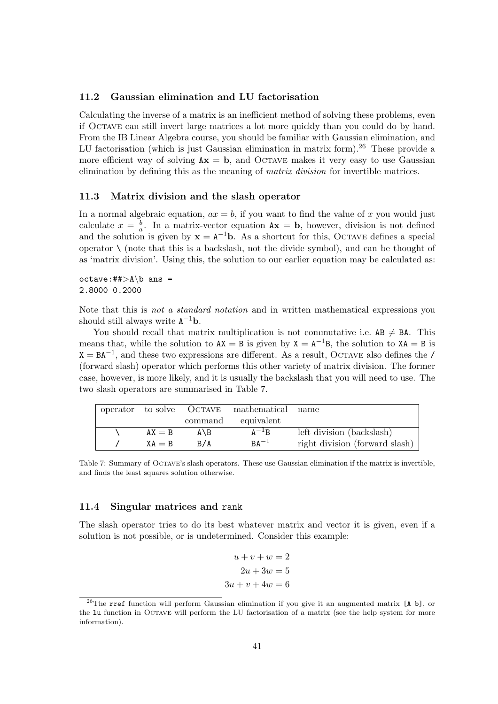### 11.2 Gaussian elimination and LU factorisation

Calculating the inverse of a matrix is an inefficient method of solving these problems, even if Octave can still invert large matrices a lot more quickly than you could do by hand. From the IB Linear Algebra course, you should be familiar with Gaussian elimination, and LU factorisation (which is just Gaussian elimination in matrix form).<sup>26</sup> These provide a more efficient way of solving  $Ax = b$ , and OCTAVE makes it very easy to use Gaussian elimination by defining this as the meaning of *matrix division* for invertible matrices.

#### 11.3 Matrix division and the slash operator

In a normal algebraic equation,  $ax = b$ , if you want to find the value of x you would just calculate  $x = \frac{b}{a}$  $\frac{b}{a}$ . In a matrix-vector equation  $Ax = b$ , however, division is not defined and the solution is given by  $x = A^{-1}b$ . As a shortcut for this, OCTAVE defines a special operator  $\setminus$  (note that this is a backslash, not the divide symbol), and can be thought of as 'matrix division'. Using this, the solution to our earlier equation may be calculated as:

#### $octave: \# \Rightarrow A \ b$  ans = 2.8000 0.2000

Note that this is not a standard notation and in written mathematical expressions you should still always write  $A^{-1}b$ .

You should recall that matrix multiplication is not commutative i.e.  $AB \neq BA$ . This means that, while the solution to  $AX = B$  is given by  $X = A^{-1}B$ , the solution to  $XA = B$  is  $X = BA^{-1}$ , and these two expressions are different. As a result, OCTAVE also defines the / (forward slash) operator which performs this other variety of matrix division. The former case, however, is more likely, and it is usually the backslash that you will need to use. The two slash operators are summarised in Table 7.

|          |       | operator to solve OCTAVE mathematical name |                                |
|----------|-------|--------------------------------------------|--------------------------------|
|          |       | command equivalent                         |                                |
| $AX = B$ | A \ B | $A^{-1}B$                                  | left division (backslash)      |
| $XA = B$ | B/A   | $BA^{-1}$                                  | right division (forward slash) |

Table 7: Summary of Octave's slash operators. These use Gaussian elimination if the matrix is invertible, and finds the least squares solution otherwise.

#### 11.4 Singular matrices and rank

The slash operator tries to do its best whatever matrix and vector it is given, even if a solution is not possible, or is undetermined. Consider this example:

$$
u + v + w = 2
$$

$$
2u + 3w = 5
$$

$$
3u + v + 4w = 6
$$

<sup>&</sup>lt;sup>26</sup>The rref function will perform Gaussian elimination if you give it an augmented matrix [A b], or the lu function in Octave will perform the LU factorisation of a matrix (see the help system for more information).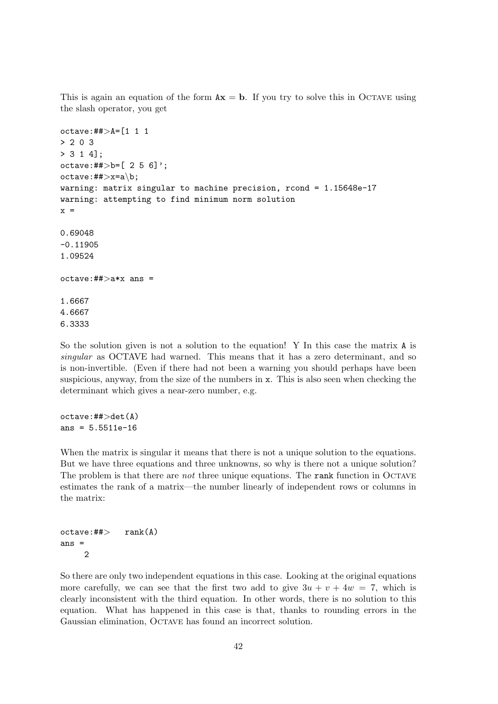This is again an equation of the form  $Ax = b$ . If you try to solve this in OCTAVE using the slash operator, you get

```
octave: ## > A = [1 1 1]> 2 0 3
> 3 1 4];
octave:##> b = [ 2 5 6]';
octave:##>x=a\,b;warning: matrix singular to machine precision, rcond = 1.15648e-17
warning: attempting to find minimum norm solution
x =0.69048
-0.11905
1.09524
octave:##>a*x ans =
1.6667
4.6667
6.3333
```
So the solution given is not a solution to the equation! Y In this case the matrix A is singular as OCTAVE had warned. This means that it has a zero determinant, and so is non-invertible. (Even if there had not been a warning you should perhaps have been suspicious, anyway, from the size of the numbers in x. This is also seen when checking the determinant which gives a near-zero number, e.g.

octave:##>det(A)  $ans = 5.5511e-16$ 

When the matrix is singular it means that there is not a unique solution to the equations. But we have three equations and three unknowns, so why is there not a unique solution? The problem is that there are *not* three unique equations. The rank function in OCTAVE estimates the rank of a matrix—the number linearly of independent rows or columns in the matrix:

```
octave:## rank(A)ans =
    2
```
So there are only two independent equations in this case. Looking at the original equations more carefully, we can see that the first two add to give  $3u + v + 4w = 7$ , which is clearly inconsistent with the third equation. In other words, there is no solution to this equation. What has happened in this case is that, thanks to rounding errors in the Gaussian elimination, Octave has found an incorrect solution.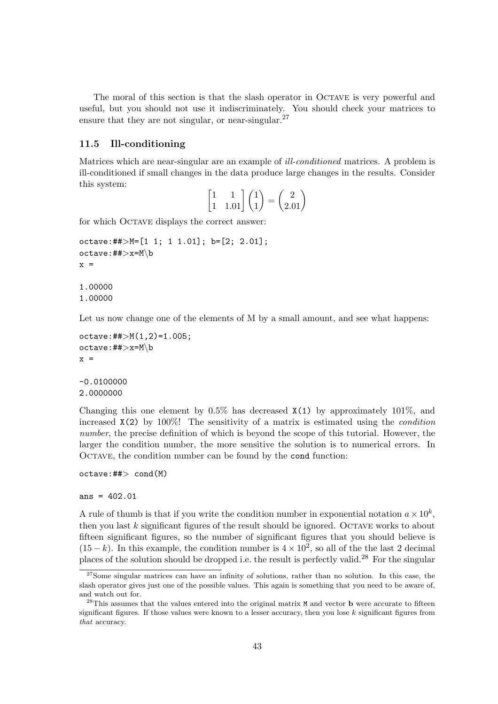The moral of this section is that the slash operator in OCTAVE is very powerful and useful, but you should not use it indiscriminately. You should check your matrices to ensure that they are not singular, or near-singular.<sup>27</sup>

#### 11.5 Ill-conditioning

Matrices which are near-singular are an example of ill-conditioned matrices. A problem is ill-conditioned if small changes in the data produce large changes in the results. Consider this system: ·  $\mathbf{r}$  $\overline{a}$ 

| $\begin{bmatrix} 1 & 1 \\ 1 & 1.01 \end{bmatrix} \begin{pmatrix} 1 \\ 1 \end{pmatrix} = \begin{pmatrix} 2 \\ 2.01 \end{pmatrix}$ |  |  |
|----------------------------------------------------------------------------------------------------------------------------------|--|--|
|                                                                                                                                  |  |  |

for which OCTAVE displays the correct answer:

```
octave:##>M=[1 1; 1 1.01]; b=[2; 2.01];
octave:##>x=M\b
x =
```

```
1.00000
1.00000
```
Let us now change one of the elements of M by a small amount, and see what happens:

```
octave:##>M(1,2)=1.005;
octave:##>x=M\b
x =
```
 $-0.0100000$ 2.0000000

Changing this one element by  $0.5\%$  has decreased  $X(1)$  by approximately 101%, and increased  $X(2)$  by 100%! The sensitivity of a matrix is estimated using the *condition* number, the precise definition of which is beyond the scope of this tutorial. However, the larger the condition number, the more sensitive the solution is to numerical errors. In OCTAVE, the condition number can be found by the cond function:

```
octave:##> cond(M)
```
#### ans = 402.01

A rule of thumb is that if you write the condition number in exponential notation  $a \times 10^k$ , then you last  $k$  significant figures of the result should be ignored. OCTAVE works to about fifteen significant figures, so the number of significant figures that you should believe is  $(15-k)$ . In this example, the condition number is  $4 \times 10^2$ , so all of the the last 2 decimal places of the solution should be dropped i.e. the result is perfectly valid.<sup>28</sup> For the singular

<sup>&</sup>lt;sup>27</sup>Some singular matrices can have an infinity of solutions, rather than no solution. In this case, the slash operator gives just one of the possible values. This again is something that you need to be aware of, and watch out for.

<sup>&</sup>lt;sup>28</sup>This assumes that the values entered into the original matrix M and vector **b** were accurate to fifteen significant figures. If those values were known to a lesser accuracy, then you lose k significant figures from that accuracy.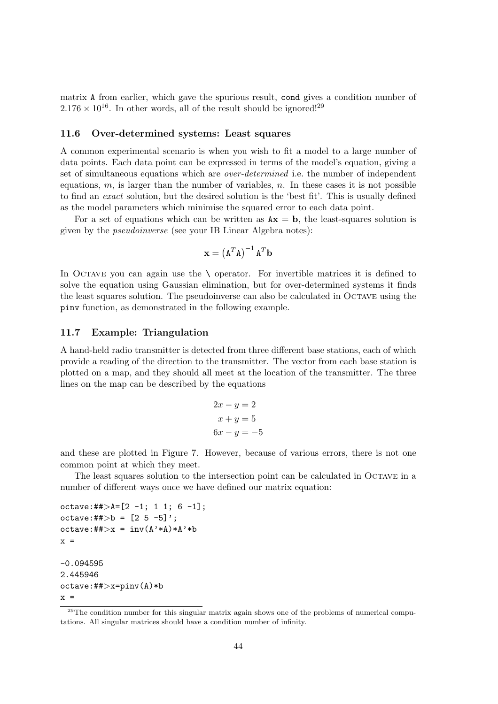matrix A from earlier, which gave the spurious result, cond gives a condition number of  $2.176 \times 10^{16}$ . In other words, all of the result should be ignored!<sup>29</sup>

#### 11.6 Over-determined systems: Least squares

A common experimental scenario is when you wish to fit a model to a large number of data points. Each data point can be expressed in terms of the model's equation, giving a set of simultaneous equations which are over-determined i.e. the number of independent equations,  $m$ , is larger than the number of variables,  $n$ . In these cases it is not possible to find an exact solution, but the desired solution is the 'best fit'. This is usually defined as the model parameters which minimise the squared error to each data point.

For a set of equations which can be written as  $Ax = b$ , the least-squares solution is given by the pseudoinverse (see your IB Linear Algebra notes):

$$
\mathbf{x} = \left(\mathbf{A}^T \mathbf{A}\right)^{-1} \mathbf{A}^T \mathbf{b}
$$

In OCTAVE you can again use the  $\setminus$  operator. For invertible matrices it is defined to solve the equation using Gaussian elimination, but for over-determined systems it finds the least squares solution. The pseudoinverse can also be calculated in Octave using the pinv function, as demonstrated in the following example.

#### 11.7 Example: Triangulation

A hand-held radio transmitter is detected from three different base stations, each of which provide a reading of the direction to the transmitter. The vector from each base station is plotted on a map, and they should all meet at the location of the transmitter. The three lines on the map can be described by the equations

$$
2x - y = 2
$$

$$
x + y = 5
$$

$$
6x - y = -5
$$

and these are plotted in Figure 7. However, because of various errors, there is not one common point at which they meet.

The least squares solution to the intersection point can be calculated in Octave in a number of different ways once we have defined our matrix equation:

```
octave:##>A=[2 -1; 1 1; 6 -1];octave:##>b = [2 5 -5]';
octave:##>x = inv(A'*A)*A'*bx =-0.094595
2.445946
octave:##>x=pinv(A)*b
x =
```
<sup>&</sup>lt;sup>29</sup>The condition number for this singular matrix again shows one of the problems of numerical computations. All singular matrices should have a condition number of infinity.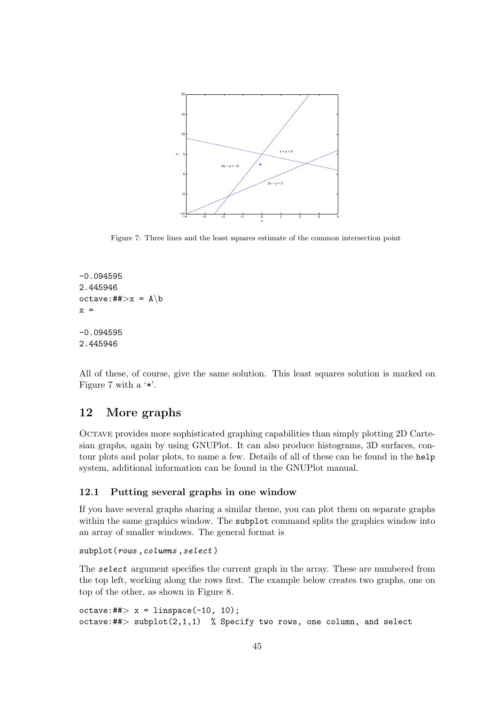

Figure 7: Three lines and the least squares estimate of the common intersection point

```
-0.094595
2.445946
octave: \# \uplus x = A \bx =-0.094595
2.445946
```
All of these, of course, give the same solution. This least squares solution is marked on Figure 7 with a '\*'.

## 12 More graphs

Octave provides more sophisticated graphing capabilities than simply plotting 2D Cartesian graphs, again by using GNUPlot. It can also produce histograms, 3D surfaces, contour plots and polar plots, to name a few. Details of all of these can be found in the help system, additional information can be found in the GNUPlot manual.

## 12.1 Putting several graphs in one window

If you have several graphs sharing a similar theme, you can plot them on separate graphs within the same graphics window. The subplot command splits the graphics window into an array of smaller windows. The general format is

```
subplot(rows, columns, select)
```
The select argument specifies the current graph in the array. These are numbered from the top left, working along the rows first. The example below creates two graphs, one on top of the other, as shown in Figure 8.

```
octave:##> x = linspace(-10, 10);octave:##> subplot(2,1,1) % Specify two rows, one column, and select
```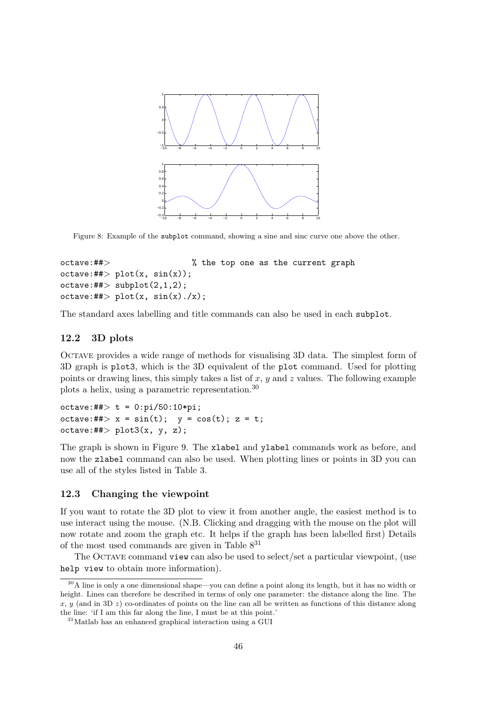

Figure 8: Example of the subplot command, showing a sine and sinc curve one above the other.

```
octave:##> % the top one as the current graph
octave:#*> plot(x, sin(x));octave:#*>subplot(2,1,2);octave:#*> plot(x, sin(x)./x);
```
The standard axes labelling and title commands can also be used in each subplot.

#### 12.2 3D plots

Octave provides a wide range of methods for visualising 3D data. The simplest form of 3D graph is plot3, which is the 3D equivalent of the plot command. Used for plotting points or drawing lines, this simply takes a list of  $x, y$  and  $z$  values. The following example plots a helix, using a parametric representation.<sup>30</sup>

```
octave: ## > t = 0:pi/50:10*pi;octave:##> x = sin(t); y = cos(t); z = t;
octave:## plot3(x, y, z);
```
The graph is shown in Figure 9. The xlabel and ylabel commands work as before, and now the zlabel command can also be used. When plotting lines or points in 3D you can use all of the styles listed in Table 3.

### 12.3 Changing the viewpoint

If you want to rotate the 3D plot to view it from another angle, the easiest method is to use interact using the mouse. (N.B. Clicking and dragging with the mouse on the plot will now rotate and zoom the graph etc. It helps if the graph has been labelled first) Details of the most used commands are given in Table 8<sup>31</sup>

The OCTAVE command view can also be used to select/set a particular viewpoint, (use help view to obtain more information).

<sup>30</sup>A line is only a one dimensional shape—you can define a point along its length, but it has no width or height. Lines can therefore be described in terms of only one parameter: the distance along the line. The x, y (and in 3D z) co-ordinates of points on the line can all be written as functions of this distance along the line: 'if I am this far along the line, I must be at this point.'

<sup>31</sup>Matlab has an enhanced graphical interaction using a GUI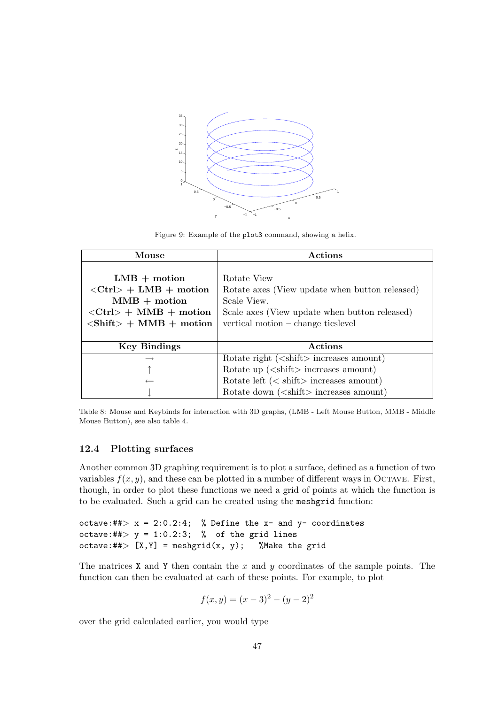

Figure 9: Example of the plot3 command, showing a helix.

| Mouse                                                       | Actions                                                      |  |
|-------------------------------------------------------------|--------------------------------------------------------------|--|
|                                                             |                                                              |  |
| $LMB + motion$                                              | Rotate View                                                  |  |
| $\langle$ Ctrl> + LMB + motion                              | Rotate axes (View update when button released)               |  |
| $MMB + motion$                                              | Scale View.                                                  |  |
| $\langle$ Ctrl> + MMB + motion                              | Scale axes (View update when button released)                |  |
| $\langle \text{Shift} \rangle + \text{MMB} + \text{motion}$ | vertical motion – change ticslevel                           |  |
|                                                             |                                                              |  |
| <b>Key Bindings</b>                                         | Actions                                                      |  |
|                                                             | Rotate right $(\leq\text{shift}\geq\text{increases amount})$ |  |
|                                                             | Rotate up $(\le$ shift $>$ increases amount)                 |  |
|                                                             | Rotate left $(<$ shift > increases amount)                   |  |
|                                                             | Rotate down $(\leq \text{shift} > \text{increases amount})$  |  |

Table 8: Mouse and Keybinds for interaction with 3D graphs, (LMB - Left Mouse Button, MMB - Middle Mouse Button), see also table 4.

### 12.4 Plotting surfaces

Another common 3D graphing requirement is to plot a surface, defined as a function of two variables  $f(x, y)$ , and these can be plotted in a number of different ways in OCTAVE. First, though, in order to plot these functions we need a grid of points at which the function is to be evaluated. Such a grid can be created using the meshgrid function:

```
octave:##> x = 2:0.2:4; % Define the x- and y- coordinates
octave:##> y = 1:0.2:3; % of the grid lines
octave:##>[X, Y] = meshgrid(x, y); %Make the grid
```
The matrices X and Y then contain the x and y coordinates of the sample points. The function can then be evaluated at each of these points. For example, to plot

$$
f(x, y) = (x - 3)^2 - (y - 2)^2
$$

over the grid calculated earlier, you would type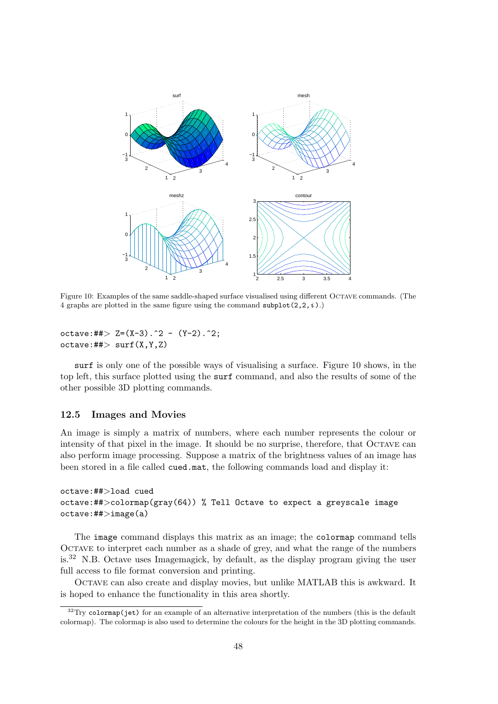

Figure 10: Examples of the same saddle-shaped surface visualised using different Octave commands. (The 4 graphs are plotted in the same figure using the command subplot( $2, 2, i$ ).)

```
octave:##> Z=(X-3).^2 - (Y-2).^2;
octave:#*> surf(X,Y,Z)
```
surf is only one of the possible ways of visualising a surface. Figure 10 shows, in the top left, this surface plotted using the surf command, and also the results of some of the other possible 3D plotting commands.

#### 12.5 Images and Movies

An image is simply a matrix of numbers, where each number represents the colour or intensity of that pixel in the image. It should be no surprise, therefore, that Octave can also perform image processing. Suppose a matrix of the brightness values of an image has been stored in a file called cued.mat, the following commands load and display it:

## octave:##>load cued octave:  $\#$  > colormap(gray(64)) % Tell Octave to expect a greyscale image octave:##>image(a)

The image command displays this matrix as an image; the colormap command tells Octave to interpret each number as a shade of grey, and what the range of the numbers is.<sup>32</sup> N.B. Octave uses Imagemagick, by default, as the display program giving the user full access to file format conversion and printing.

Octave can also create and display movies, but unlike MATLAB this is awkward. It is hoped to enhance the functionality in this area shortly.

 $32$ Try colormap(jet) for an example of an alternative interpretation of the numbers (this is the default colormap). The colormap is also used to determine the colours for the height in the 3D plotting commands.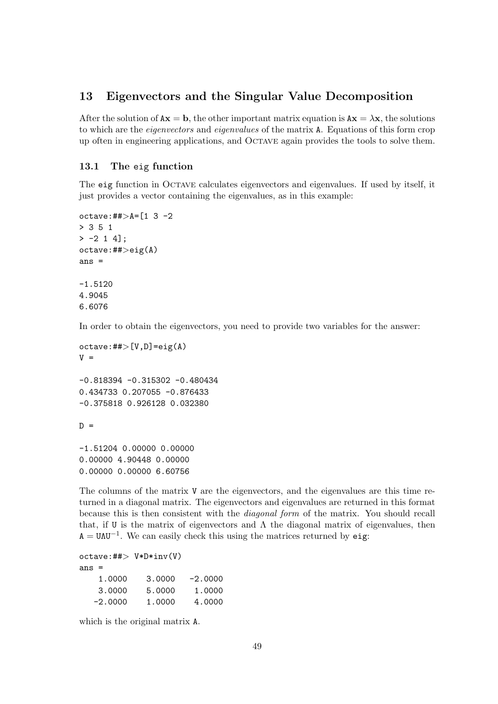## 13 Eigenvectors and the Singular Value Decomposition

After the solution of  $Ax = b$ , the other important matrix equation is  $Ax = \lambda x$ , the solutions to which are the eigenvectors and eigenvalues of the matrix A. Equations of this form crop up often in engineering applications, and Octave again provides the tools to solve them.

### 13.1 The eig function

The eig function in Octave calculates eigenvectors and eigenvalues. If used by itself, it just provides a vector containing the eigenvalues, as in this example:

```
octave: \#\geqA=[1 3 -2
> 3 5 1
> -2 1 4];
octave: ## > eig(A)ans =
-1.5120
4.9045
6.6076
```
In order to obtain the eigenvectors, you need to provide two variables for the answer:

```
octave: # \nless \nless [V,D] = eig(A)V =-0.818394 -0.315302 -0.480434
0.434733 0.207055 -0.876433
-0.375818 0.926128 0.032380
D =
```
-1.51204 0.00000 0.00000 0.00000 4.90448 0.00000 0.00000 0.00000 6.60756

The columns of the matrix V are the eigenvectors, and the eigenvalues are this time returned in a diagonal matrix. The eigenvectors and eigenvalues are returned in this format because this is then consistent with the diagonal form of the matrix. You should recall that, if U is the matrix of eigenvectors and  $\Lambda$  the diagonal matrix of eigenvalues, then  $A = U \Lambda U^{-1}$ . We can easily check this using the matrices returned by eig:

 $octave:##$   $V*D*inv(V)$ ans =

| 1.0000    | 3.0000 | $-2.0000$ |
|-----------|--------|-----------|
| 3,0000    | 5.0000 | 1,0000    |
| $-2.0000$ | 1.0000 | 4.0000    |

which is the original matrix A.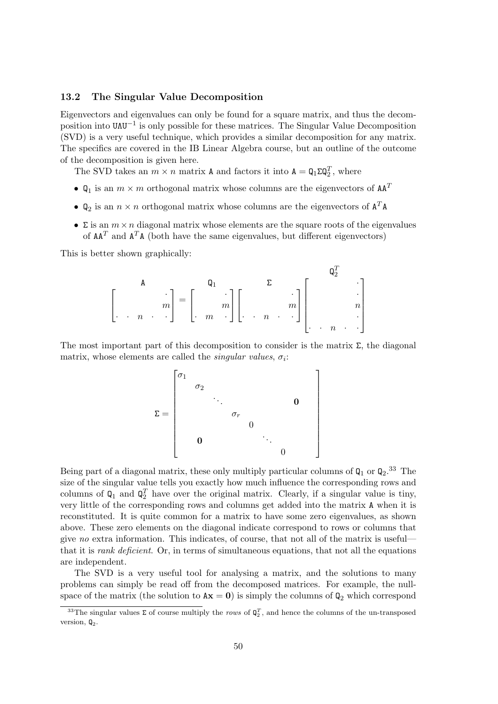### 13.2 The Singular Value Decomposition

Eigenvectors and eigenvalues can only be found for a square matrix, and thus the decomposition into UΛU−<sup>1</sup> is only possible for these matrices. The Singular Value Decomposition (SVD) is a very useful technique, which provides a similar decomposition for any matrix. The specifics are covered in the IB Linear Algebra course, but an outline of the outcome of the decomposition is given here.

The SVD takes an  $m \times n$  matrix A and factors it into  $A = Q_1 \Sigma Q_2^T$ , where

- $\mathbb{Q}_1$  is an  $m \times m$  orthogonal matrix whose columns are the eigenvectors of  $AA^T$
- $\mathbb{Q}_2$  is an  $n \times n$  orthogonal matrix whose columns are the eigenvectors of  $\mathbf{A}^T \mathbf{A}$
- $\Sigma$  is an  $m \times n$  diagonal matrix whose elements are the square roots of the eigenvalues of  $AA<sup>T</sup>$  and  $A<sup>T</sup>A$  (both have the same eigenvalues, but different eigenvectors)

This is better shown graphically:

A · m · · n · · = Q1 · m · m · Σ · m · · n · · Q T 2 · · n · · · n · · 

The most important part of this decomposition to consider is the matrix  $\Sigma$ , the diagonal matrix, whose elements are called the *singular values*,  $\sigma_i$ :

> $\overline{a}$  $\vert$  $\left| \right|$  $\frac{1}{2}$  $\mathbf{I}$  $\frac{1}{2}$  $\mathbf{I}$  $\mathbf{I}$  $\frac{1}{2}$  $\mathbf{I}$  $\frac{1}{2}$  $\mathbf{I}$

$$
\Sigma = \begin{bmatrix} \sigma_1 & & & & & \\ & \sigma_2 & & & & \\ & & \ddots & & & \\ & & & \sigma_r & & \\ & & & & 0 & \\ & & & & & 0 \end{bmatrix}
$$

Being part of a diagonal matrix, these only multiply particular columns of  $Q_1$  or  $Q_2$ .<sup>33</sup> The size of the singular value tells you exactly how much influence the corresponding rows and columns of  $\mathbf{Q}_1$  and  $\mathbf{Q}_2^T$  have over the original matrix. Clearly, if a singular value is tiny, very little of the corresponding rows and columns get added into the matrix A when it is reconstituted. It is quite common for a matrix to have some zero eigenvalues, as shown above. These zero elements on the diagonal indicate correspond to rows or columns that give no extra information. This indicates, of course, that not all of the matrix is useful that it is rank deficient. Or, in terms of simultaneous equations, that not all the equations are independent.

The SVD is a very useful tool for analysing a matrix, and the solutions to many problems can simply be read off from the decomposed matrices. For example, the nullspace of the matrix (the solution to  $Ax = 0$ ) is simply the columns of  $Q_2$  which correspond

<sup>&</sup>lt;sup>33</sup>The singular values  $\Sigma$  of course multiply the *rows* of  $\mathbf{Q}_2^T$ , and hence the columns of the un-transposed version,  $\mathbb{Q}_2$ .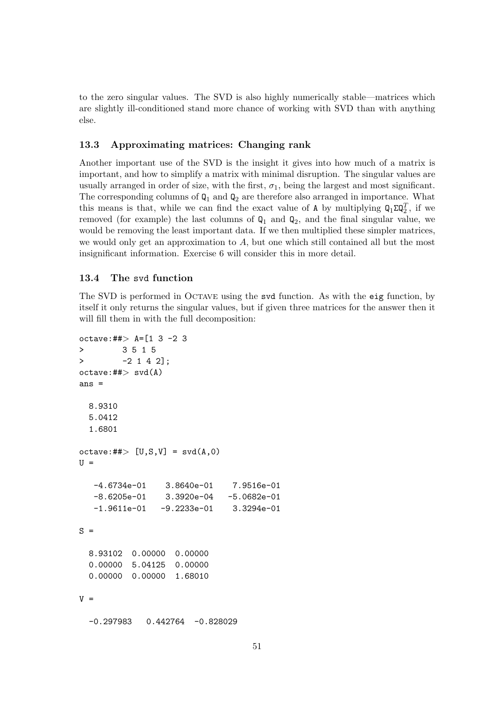to the zero singular values. The SVD is also highly numerically stable—matrices which are slightly ill-conditioned stand more chance of working with SVD than with anything else.

#### 13.3 Approximating matrices: Changing rank

Another important use of the SVD is the insight it gives into how much of a matrix is important, and how to simplify a matrix with minimal disruption. The singular values are usually arranged in order of size, with the first,  $\sigma_1$ , being the largest and most significant. The corresponding columns of  $Q_1$  and  $Q_2$  are therefore also arranged in importance. What this means is that, while we can find the exact value of A by multiplying  $Q_1 \Sigma Q_2^T$ , if we removed (for example) the last columns of  $Q_1$  and  $Q_2$ , and the final singular value, we would be removing the least important data. If we then multiplied these simpler matrices, we would only get an approximation to  $A$ , but one which still contained all but the most insignificant information. Exercise 6 will consider this in more detail.

## 13.4 The svd function

The SVD is performed in Octave using the svd function. As with the eig function, by itself it only returns the singular values, but if given three matrices for the answer then it will fill them in with the full decomposition:

```
octave: ##> A=[1 3 -2 3
> 3 5 1 5
> -2 1 4 2];
octave:##>svd(A)ans =
 8.9310
 5.0412
 1.6801
octave:## [U, S, V] = svd(A, 0)U =-4.6734e-01 3.8640e-01 7.9516e-01
  -8.6205e-01 3.3920e-04 -5.0682e-01
  -1.9611e-01 -9.2233e-01 3.3294e-01S =8.93102 0.00000 0.00000
 0.00000 5.04125 0.00000
 0.00000 0.00000 1.68010
V =-0.297983 0.442764 -0.828029
```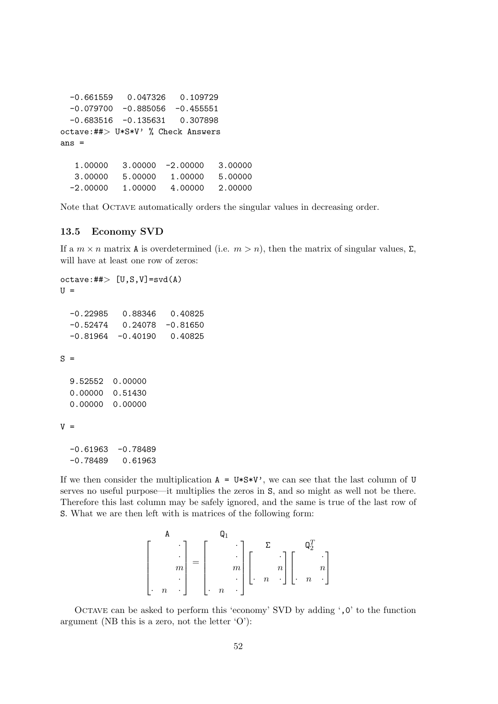```
-0.661559 0.047326 0.109729
 -0.079700 -0.885056 -0.455551-0.683516 -0.135631 0.307898
octave:##> U*S*V' % Check Answers
ans =
  1.00000 3.00000 -2.00000 3.00000
  3.00000 5.00000 1.00000 5.00000
 -2.00000 1.00000 4.00000 2.00000
```
Note that OCTAVE automatically orders the singular values in decreasing order.

#### 13.5 Economy SVD

If a  $m \times n$  matrix A is overdetermined (i.e.  $m > n$ ), then the matrix of singular values, Σ, will have at least one row of zeros:

```
octave: \# \Rightarrow [U, S, V] = svd(A)U =-0.22985 0.88346 0.40825
  -0.52474 0.24078 -0.81650-0.81964 -0.40190 0.40825
S =9.52552 0.00000
  0.00000 0.51430
  0.00000 0.00000
V =-0.61963 -0.78489
```
-0.78489 0.61963

If we then consider the multiplication  $A = U*S*V'$ , we can see that the last column of U serves no useful purpose—it multiplies the zeros in S, and so might as well not be there. Therefore this last column may be safely ignored, and the same is true of the last row of S. What we are then left with is matrices of the following form:

$$
\begin{bmatrix} & & & & \mathbf{0}_1 & & & \\ & & \ddots & & \\ & & & m & \\ & & & \ddots & \\ & & & & & \end{bmatrix} = \begin{bmatrix} & & & & \mathbf{0}_1 & & \\ & & \ddots & & \\ & & & m & \\ & & & & \ddots \\ & & & & & \end{bmatrix} \begin{bmatrix} & & & \mathbf{0}_2^T & & \\ & & \ddots & & \\ & & & & \mathbf{0}_m & \\ & & & & & \end{bmatrix}
$$

Octave can be asked to perform this 'economy' SVD by adding ',0' to the function argument (NB this is a zero, not the letter  $\langle O' \rangle$ :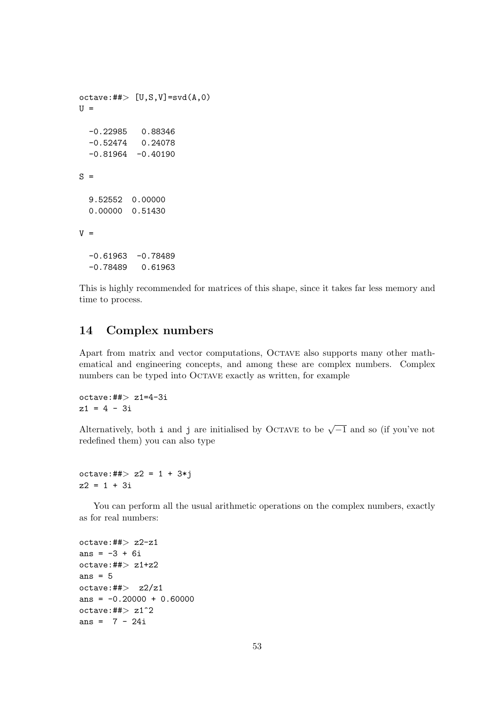```
octave:#\rightarrow [U,S,V]=svd(A,0)U =-0.22985 0.88346
  -0.52474 0.24078
  -0.81964 - 0.40190S =9.52552 0.00000
  0.00000 0.51430
V =-0.61963 -0.78489-0.78489 0.61963
```
This is highly recommended for matrices of this shape, since it takes far less memory and time to process.

## 14 Complex numbers

Apart from matrix and vector computations, Octave also supports many other mathematical and engineering concepts, and among these are complex numbers. Complex numbers can be typed into OCTAVE exactly as written, for example

 $octave:##> z1=4-3i$  $z1 = 4 - 3i$ 

Alternatively, both i and j are initialised by OCTAVE to be  $\sqrt{-1}$  and so (if you've not redefined them) you can also type

 $octave: ## > z2 = 1 + 3 * j$  $z2 = 1 + 3i$ 

You can perform all the usual arithmetic operations on the complex numbers, exactly as for real numbers:

```
octave:##> z2-z1
ans = -3 + 6ioctave:##>z1+z2ans = 5octave: \#> z2/z1
ans = -0.20000 + 0.60000octave: \#\geq 21^2ans = 7 - 24i
```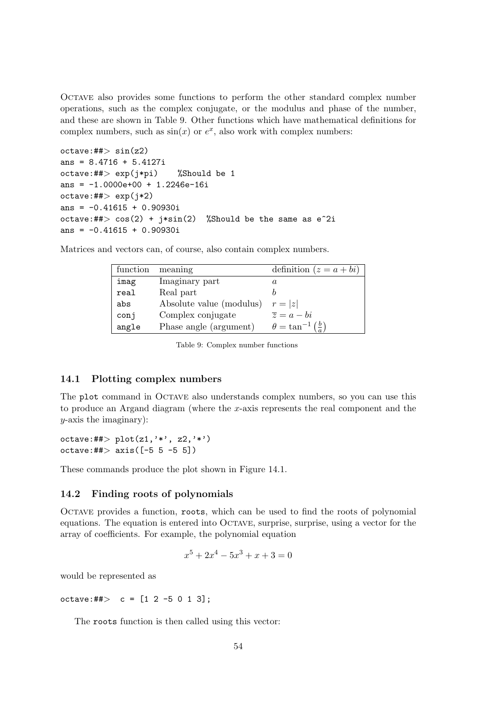Octave also provides some functions to perform the other standard complex number operations, such as the complex conjugate, or the modulus and phase of the number, and these are shown in Table 9. Other functions which have mathematical definitions for complex numbers, such as  $sin(x)$  or  $e^x$ , also work with complex numbers:

```
octave:##> sin(z2)ans = 8.4716 + 5.4127ioctave:##> exp(j*pi) %Should be 1
ans = -1.0000e+00 + 1.2246e-16ioctave:##> exp(j*2)ans = -0.41615 + 0.90930ioctave:##> cos(2) + i * sin(2) %Should be the same as e<sup>2</sup>i
ans = -0.41615 + 0.90930i
```
Matrices and vectors can, of course, also contain complex numbers.

| function | meaning                  | definition $(z = a + bi)$             |
|----------|--------------------------|---------------------------------------|
| imag     | Imaginary part           | a                                     |
| real     | Real part                |                                       |
| abs      | Absolute value (modulus) | $r= z $                               |
| conj     | Complex conjugate        | $\overline{z} = a - bi$               |
| angle    | Phase angle (argument)   | $\theta = \tan^{-1}(\frac{b}{\cdot})$ |

Table 9: Complex number functions

#### 14.1 Plotting complex numbers

The plot command in OCTAVE also understands complex numbers, so you can use this to produce an Argand diagram (where the x-axis represents the real component and the  $y$ -axis the imaginary):

octave:##>  $plot(z1,'*,'z2,'*)$ octave:## $>$  axis( $[-5 5 -5 5]$ )

These commands produce the plot shown in Figure 14.1.

### 14.2 Finding roots of polynomials

Octave provides a function, roots, which can be used to find the roots of polynomial equations. The equation is entered into Octave, surprise, surprise, using a vector for the array of coefficients. For example, the polynomial equation

$$
x^5 + 2x^4 - 5x^3 + x + 3 = 0
$$

would be represented as

octave:## $> c = [1 2 -5 0 1 3];$ 

The roots function is then called using this vector: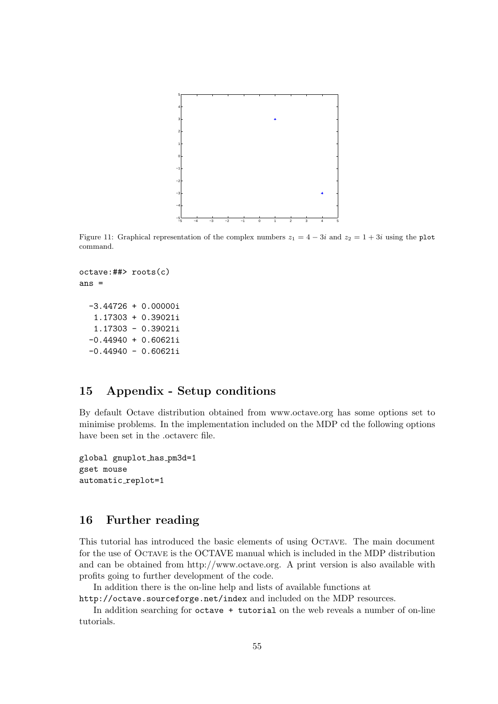

Figure 11: Graphical representation of the complex numbers  $z_1 = 4 - 3i$  and  $z_2 = 1 + 3i$  using the plot command.

```
octave:##> roots(c)
ans =
 -3.44726 + 0.00000i
  1.17303 + 0.39021i
  1.17303 - 0.39021i
 -0.44940 + 0.60621i
  -0.44940 - 0.60621i
```
## 15 Appendix - Setup conditions

By default Octave distribution obtained from www.octave.org has some options set to minimise problems. In the implementation included on the MDP cd the following options have been set in the .octaverc file.

```
global gnuplot has pm3d=1
gset mouse
automatic replot=1
```
## 16 Further reading

This tutorial has introduced the basic elements of using Octave. The main document for the use of Octave is the OCTAVE manual which is included in the MDP distribution and can be obtained from http://www.octave.org. A print version is also available with profits going to further development of the code.

In addition there is the on-line help and lists of available functions at

http://octave.sourceforge.net/index and included on the MDP resources.

In addition searching for octave + tutorial on the web reveals a number of on-line tutorials.